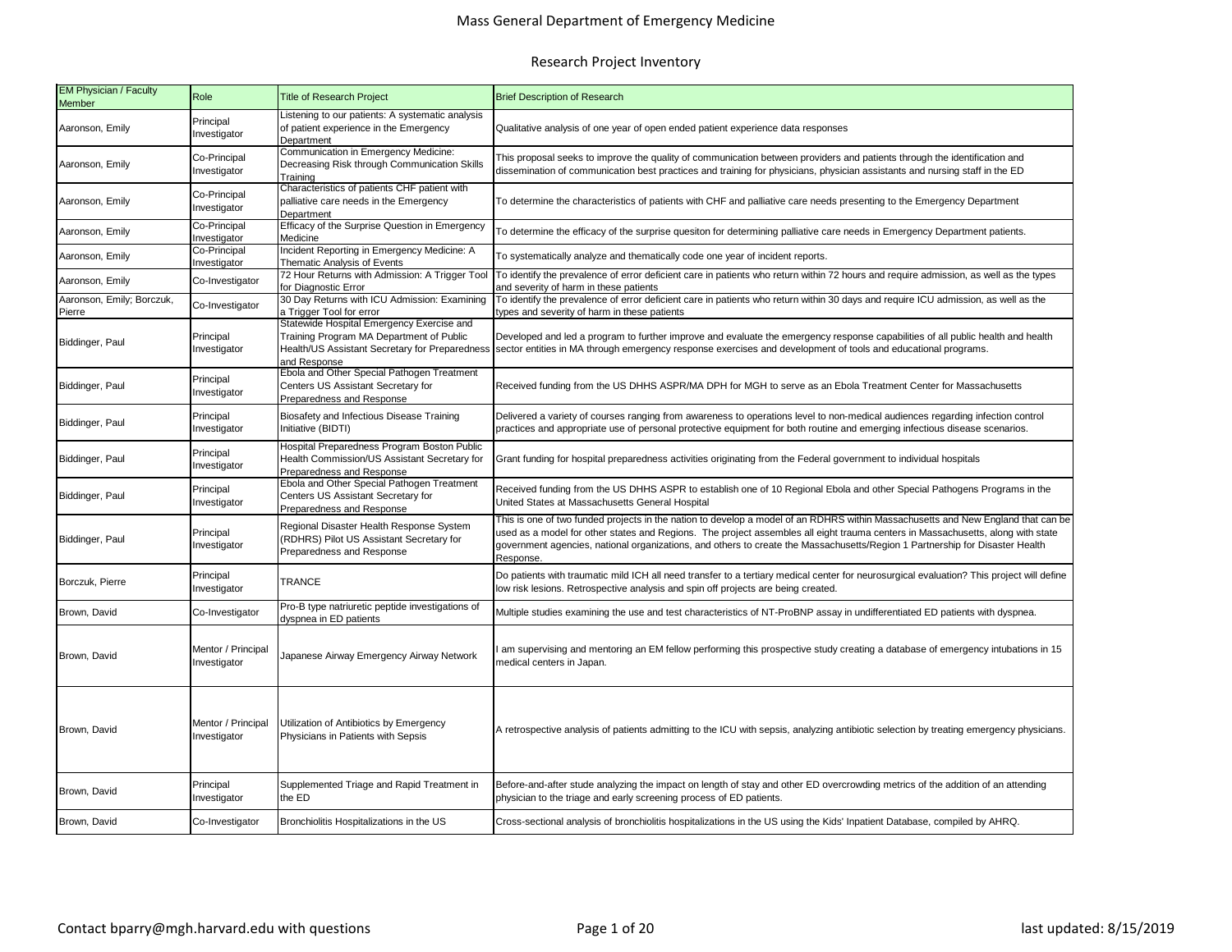| EM Physician / Faculty<br><b>Member</b> | Role                               | <b>Title of Research Project</b>                                                                                                                        | <b>Brief Description of Research</b>                                                                                                                                                                                                                                                                                                                                                                             |  |  |
|-----------------------------------------|------------------------------------|---------------------------------------------------------------------------------------------------------------------------------------------------------|------------------------------------------------------------------------------------------------------------------------------------------------------------------------------------------------------------------------------------------------------------------------------------------------------------------------------------------------------------------------------------------------------------------|--|--|
| Aaronson, Emily                         | Principal<br>Investigator          | Listening to our patients: A systematic analysis<br>of patient experience in the Emergency<br>Department                                                | Qualitative analysis of one year of open ended patient experience data responses                                                                                                                                                                                                                                                                                                                                 |  |  |
| Aaronson, Emily                         | Co-Principal<br>Investigator       | Communication in Emergency Medicine:<br>Decreasing Risk through Communication Skills<br>Training                                                        | This proposal seeks to improve the quality of communication between providers and patients through the identification and<br>dissemination of communication best practices and training for physicians, physician assistants and nursing staff in the ED                                                                                                                                                         |  |  |
| Aaronson, Emily                         | Co-Principal<br>Investigator       | Characteristics of patients CHF patient with<br>palliative care needs in the Emergency<br>Department                                                    | To determine the characteristics of patients with CHF and palliative care needs presenting to the Emergency Department                                                                                                                                                                                                                                                                                           |  |  |
| Aaronson, Emily                         | Co-Principal<br>Investigator       | Efficacy of the Surprise Question in Emergency<br>Medicine                                                                                              | To determine the efficacy of the surprise quesiton for determining palliative care needs in Emergency Department patients.                                                                                                                                                                                                                                                                                       |  |  |
| Aaronson, Emily                         | Co-Principal<br>Investigator       | Incident Reporting in Emergency Medicine: A<br>Thematic Analysis of Events                                                                              | To systematically analyze and thematically code one year of incident reports.                                                                                                                                                                                                                                                                                                                                    |  |  |
| Aaronson, Emily                         | Co-Investigator                    | 72 Hour Returns with Admission: A Trigger Tool<br>for Diagnostic Error                                                                                  | To identify the prevalence of error deficient care in patients who return within 72 hours and require admission, as well as the types<br>and severity of harm in these patients                                                                                                                                                                                                                                  |  |  |
| Aaronson, Emily; Borczuk,<br>Pierre     | Co-Investigator                    | 30 Day Returns with ICU Admission: Examining<br>a Trigger Tool for error                                                                                | To identify the prevalence of error deficient care in patients who return within 30 days and require ICU admission, as well as the<br>ypes and severity of harm in these patients                                                                                                                                                                                                                                |  |  |
| Biddinger, Paul                         | Principal<br>Investigator          | Statewide Hospital Emergency Exercise and<br>Training Program MA Department of Public<br>Health/US Assistant Secretary for Preparedness<br>and Response | Developed and led a program to further improve and evaluate the emergency response capabilities of all public health and health<br>sector entities in MA through emergency response exercises and development of tools and educational programs.                                                                                                                                                                 |  |  |
| Biddinger, Paul                         | Principal<br>Investigator          | Ebola and Other Special Pathogen Treatment<br>Centers US Assistant Secretary for<br>Preparedness and Response                                           | Received funding from the US DHHS ASPR/MA DPH for MGH to serve as an Ebola Treatment Center for Massachusetts                                                                                                                                                                                                                                                                                                    |  |  |
| Biddinger, Paul                         | Principal<br>Investigator          | Biosafety and Infectious Disease Training<br>Initiative (BIDTI)                                                                                         | Delivered a variety of courses ranging from awareness to operations level to non-medical audiences regarding infection control<br>practices and appropriate use of personal protective equipment for both routine and emerging infectious disease scenarios.                                                                                                                                                     |  |  |
| Biddinger, Paul                         | Principal<br>Investigator          | Hospital Preparedness Program Boston Public<br>Health Commission/US Assistant Secretary for<br>Preparedness and Response                                | Grant funding for hospital preparedness activities originating from the Federal government to individual hospitals                                                                                                                                                                                                                                                                                               |  |  |
| Biddinger, Paul                         | Principal<br>Investigator          | Ebola and Other Special Pathogen Treatment<br>Centers US Assistant Secretary for<br>Preparedness and Response                                           | Received funding from the US DHHS ASPR to establish one of 10 Regional Ebola and other Special Pathogens Programs in the<br>United States at Massachusetts General Hospital                                                                                                                                                                                                                                      |  |  |
| Biddinger, Paul                         | Principal<br>Investigator          | Regional Disaster Health Response System<br>(RDHRS) Pilot US Assistant Secretary for<br>Preparedness and Response                                       | This is one of two funded projects in the nation to develop a model of an RDHRS within Massachusetts and New England that can be<br>used as a model for other states and Regions. The project assembles all eight trauma centers in Massachusetts, along with state<br>government agencies, national organizations, and others to create the Massachusetts/Region 1 Partnership for Disaster Health<br>Response. |  |  |
| Borczuk, Pierre                         | Principal<br>nvestigator           | <b>TRANCE</b>                                                                                                                                           | Do patients with traumatic mild ICH all need transfer to a tertiary medical center for neurosurgical evaluation? This project will define<br>low risk lesions. Retrospective analysis and spin off projects are being created.                                                                                                                                                                                   |  |  |
| Brown, David                            | Co-Investigator                    | Pro-B type natriuretic peptide investigations of<br>dyspnea in ED patients                                                                              | Multiple studies examining the use and test characteristics of NT-ProBNP assay in undifferentiated ED patients with dyspnea.                                                                                                                                                                                                                                                                                     |  |  |
| Brown, David                            | Mentor / Principal<br>Investigator | Japanese Airway Emergency Airway Network                                                                                                                | am supervising and mentoring an EM fellow performing this prospective study creating a database of emergency intubations in 15<br>medical centers in Japan.                                                                                                                                                                                                                                                      |  |  |
| Brown, David                            | Mentor / Principal<br>Investigator | Utilization of Antibiotics by Emergency<br>Physicians in Patients with Sepsis                                                                           | A retrospective analysis of patients admitting to the ICU with sepsis, analyzing antibiotic selection by treating emergency physicians.                                                                                                                                                                                                                                                                          |  |  |
| Brown, David                            | Principal<br>Investigator          | Supplemented Triage and Rapid Treatment in<br>the ED                                                                                                    | Before-and-after stude analyzing the impact on length of stay and other ED overcrowding metrics of the addition of an attending<br>physician to the triage and early screening process of ED patients.                                                                                                                                                                                                           |  |  |
| Brown, David                            | Co-Investigator                    | Bronchiolitis Hospitalizations in the US                                                                                                                | Cross-sectional analysis of bronchiolitis hospitalizations in the US using the Kids' Inpatient Database, compiled by AHRQ.                                                                                                                                                                                                                                                                                       |  |  |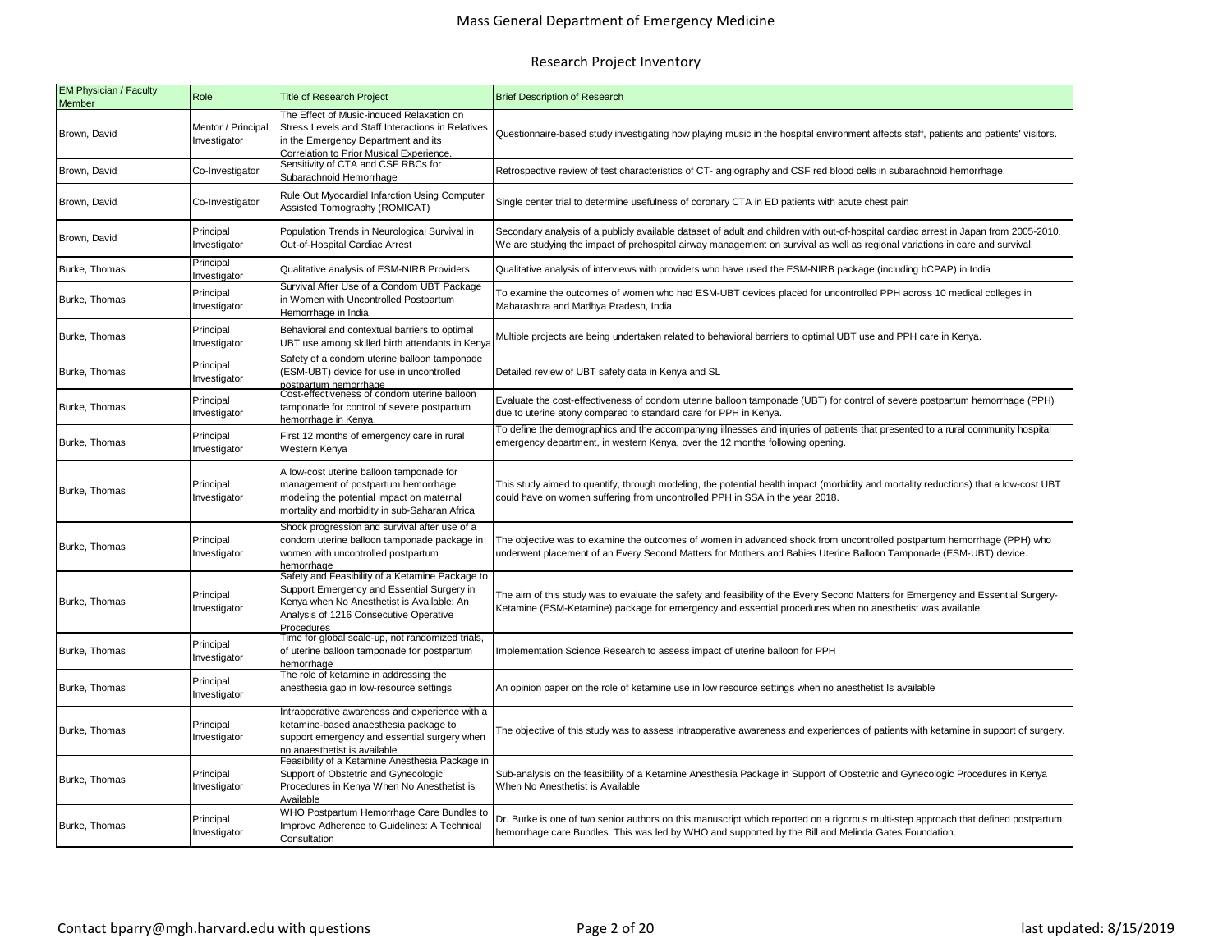# Mass General Department of Emergency Medicine

| EM Physician / Faculty<br><b>Member</b> | Role                               | <b>Title of Research Project</b>                                                                                                                                                                    | <b>Brief Description of Research</b>                                                                                                                                                                                                                                                 |  |  |
|-----------------------------------------|------------------------------------|-----------------------------------------------------------------------------------------------------------------------------------------------------------------------------------------------------|--------------------------------------------------------------------------------------------------------------------------------------------------------------------------------------------------------------------------------------------------------------------------------------|--|--|
| Brown, David                            | Mentor / Principal<br>Investigator | The Effect of Music-induced Relaxation on<br>Stress Levels and Staff Interactions in Relatives<br>in the Emergency Department and its<br>Correlation to Prior Musical Experience.                   | Questionnaire-based study investigating how playing music in the hospital environment affects staff, patients and patients' visitors.                                                                                                                                                |  |  |
| Brown, David                            | Co-Investigator                    | Sensitivity of CTA and CSF RBCs for<br>Subarachnoid Hemorrhage                                                                                                                                      | Retrospective review of test characteristics of CT- angiography and CSF red blood cells in subarachnoid hemorrhage.                                                                                                                                                                  |  |  |
| Brown, David                            | Co-Investigator                    | Rule Out Myocardial Infarction Using Computer<br>Assisted Tomography (ROMICAT)                                                                                                                      | Single center trial to determine usefulness of coronary CTA in ED patients with acute chest pain                                                                                                                                                                                     |  |  |
| Brown, David                            | Principal<br>Investigator          | Population Trends in Neurological Survival in<br>Out-of-Hospital Cardiac Arrest                                                                                                                     | Secondary analysis of a publicly available dataset of adult and children with out-of-hospital cardiac arrest in Japan from 2005-2010.<br>We are studying the impact of prehospital airway management on survival as well as regional variations in care and survival.                |  |  |
| Burke, Thomas                           | Principal<br>nvestigator           | Qualitative analysis of ESM-NIRB Providers                                                                                                                                                          | Qualitative analysis of interviews with providers who have used the ESM-NIRB package (including bCPAP) in India                                                                                                                                                                      |  |  |
| Burke, Thomas                           | Principal<br>Investigator          | Survival After Use of a Condom UBT Package<br>in Women with Uncontrolled Postpartum<br>Hemorrhage in India                                                                                          | To examine the outcomes of women who had ESM-UBT devices placed for uncontrolled PPH across 10 medical colleges in<br>Maharashtra and Madhya Pradesh, India.                                                                                                                         |  |  |
| Burke, Thomas                           | Principal<br>Investigator          | Behavioral and contextual barriers to optimal<br>UBT use among skilled birth attendants in Kenya                                                                                                    | Multiple projects are being undertaken related to behavioral barriers to optimal UBT use and PPH care in Kenya.<br>Detailed review of UBT safety data in Kenya and SL                                                                                                                |  |  |
| Burke, Thomas                           | Principal<br>Investigator          | Safety of a condom uterine balloon tamponade<br>(ESM-UBT) device for use in uncontrolled<br>postpartum hemorrhage                                                                                   | Evaluate the cost-effectiveness of condom uterine balloon tamponade (UBT) for control of severe postpartum hemorrhage (PPH)                                                                                                                                                          |  |  |
| Burke, Thomas                           | Principal<br>Investigator          | Cost-effectiveness of condom uterine balloon<br>tamponade for control of severe postpartum<br>hemorrhage in Kenya                                                                                   |                                                                                                                                                                                                                                                                                      |  |  |
| Burke, Thomas                           | Principal<br>Investigator          | First 12 months of emergency care in rural<br>Western Kenya                                                                                                                                         | due to uterine atony compared to standard care for PPH in Kenya.<br>To define the demographics and the accompanying illnesses and injuries of patients that presented to a rural community hospital<br>emergency department, in western Kenya, over the 12 months following opening. |  |  |
| Burke, Thomas                           | Principal<br>Investigator          | A low-cost uterine balloon tamponade for<br>management of postpartum hemorrhage:<br>modeling the potential impact on maternal<br>mortality and morbidity in sub-Saharan Africa                      | This study aimed to quantify, through modeling, the potential health impact (morbidity and mortality reductions) that a low-cost UBT<br>could have on women suffering from uncontrolled PPH in SSA in the year 2018.                                                                 |  |  |
| Burke, Thomas                           | Principal<br>Investigator          | Shock progression and survival after use of a<br>condom uterine balloon tamponade package in<br>women with uncontrolled postpartum<br>hemorrhage                                                    | The objective was to examine the outcomes of women in advanced shock from uncontrolled postpartum hemorrhage (PPH) who<br>underwent placement of an Every Second Matters for Mothers and Babies Uterine Balloon Tamponade (ESM-UBT) device.                                          |  |  |
| Burke, Thomas                           | Principal<br>Investigator          | Safety and Feasibility of a Ketamine Package to<br>Support Emergency and Essential Surgery in<br>Kenya when No Anesthetist is Available: An<br>Analysis of 1216 Consecutive Operative<br>Procedures | The aim of this study was to evaluate the safety and feasibility of the Every Second Matters for Emergency and Essential Surgery-<br>Ketamine (ESM-Ketamine) package for emergency and essential procedures when no anesthetist was available.                                       |  |  |
| Burke, Thomas                           | Principal<br>Investigator          | Time for global scale-up, not randomized trials,<br>of uterine balloon tamponade for postpartum<br>hemorrhage                                                                                       | Implementation Science Research to assess impact of uterine balloon for PPH                                                                                                                                                                                                          |  |  |
| Burke, Thomas                           | Principal<br>Investigator          | The role of ketamine in addressing the<br>anesthesia gap in low-resource settings                                                                                                                   | An opinion paper on the role of ketamine use in low resource settings when no anesthetist Is available                                                                                                                                                                               |  |  |
| Burke, Thomas                           | Principal<br>Investigator          | Intraoperative awareness and experience with a<br>ketamine-based anaesthesia package to<br>support emergency and essential surgery when<br>no anaesthetist is available                             | The objective of this study was to assess intraoperative awareness and experiences of patients with ketamine in support of surgery.                                                                                                                                                  |  |  |
| Burke, Thomas                           | Principal<br>Investigator          | Feasibility of a Ketamine Anesthesia Package in<br>Support of Obstetric and Gynecologic<br>Procedures in Kenya When No Anesthetist is<br>Available                                                  | Sub-analysis on the feasibility of a Ketamine Anesthesia Package in Support of Obstetric and Gynecologic Procedures in Kenya<br>When No Anesthetist is Available                                                                                                                     |  |  |
| Burke, Thomas                           | Principal<br>Investigator          | WHO Postpartum Hemorrhage Care Bundles to<br>Improve Adherence to Guidelines: A Technical<br>Consultation                                                                                           | Dr. Burke is one of two senior authors on this manuscript which reported on a rigorous multi-step approach that defined postpartum<br>hemorrhage care Bundles. This was led by WHO and supported by the Bill and Melinda Gates Foundation.                                           |  |  |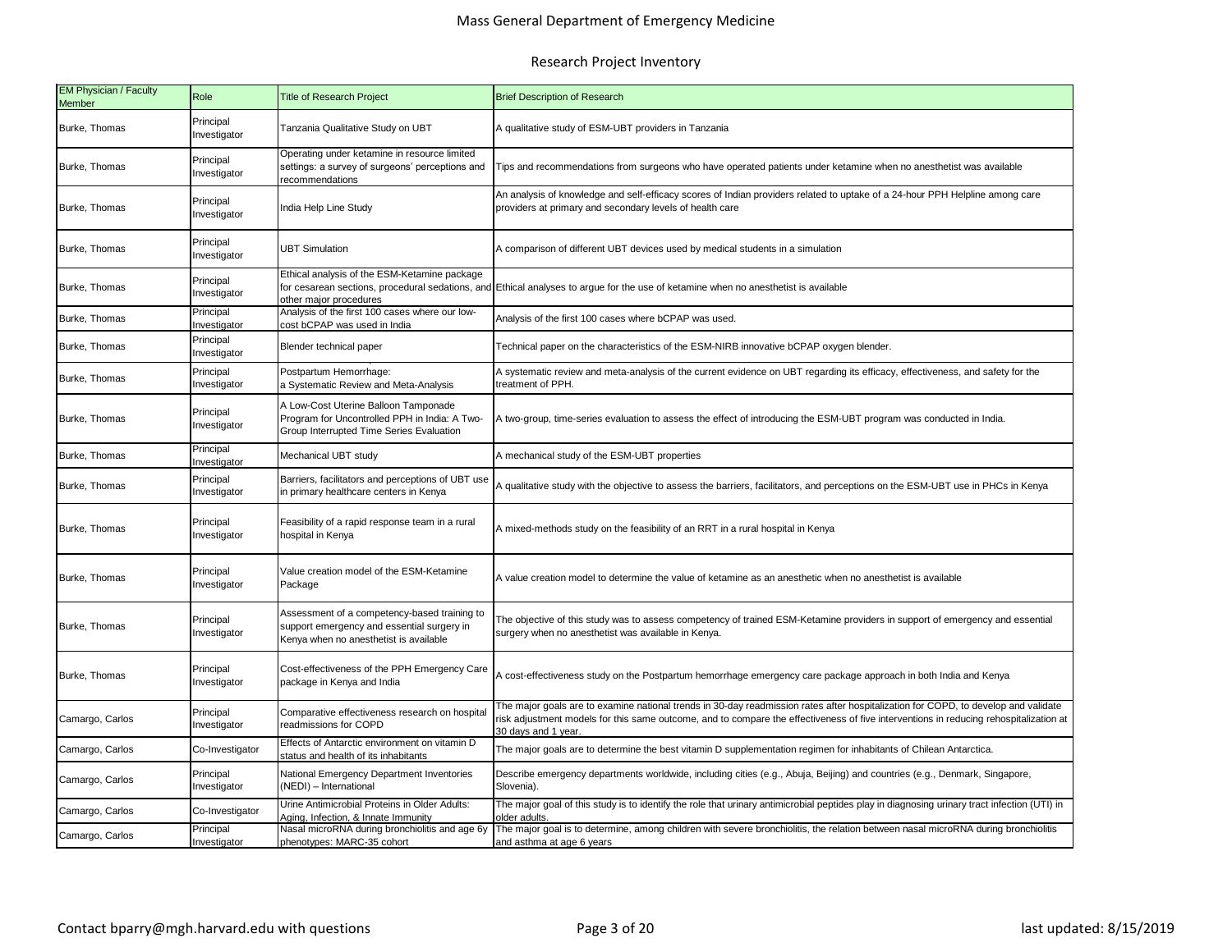| <b>EM Physician / Faculty</b><br><b>Member</b> | Role                      | <b>Title of Research Project</b>                                                                                                     | <b>Brief Description of Research</b>                                                                                                                                                                                                                                                               |
|------------------------------------------------|---------------------------|--------------------------------------------------------------------------------------------------------------------------------------|----------------------------------------------------------------------------------------------------------------------------------------------------------------------------------------------------------------------------------------------------------------------------------------------------|
| Burke, Thomas                                  | Principal<br>Investigator | Tanzania Qualitative Study on UBT                                                                                                    | A qualitative study of ESM-UBT providers in Tanzania                                                                                                                                                                                                                                               |
| Burke, Thomas                                  | Principal<br>Investigator | Operating under ketamine in resource limited<br>settings: a survey of surgeons' perceptions and<br>recommendations                   | Tips and recommendations from surgeons who have operated patients under ketamine when no anesthetist was available                                                                                                                                                                                 |
| Burke, Thomas                                  | Principal<br>Investigator | India Help Line Study                                                                                                                | An analysis of knowledge and self-efficacy scores of Indian providers related to uptake of a 24-hour PPH Helpline among care<br>providers at primary and secondary levels of health care                                                                                                           |
| Burke, Thomas                                  | Principal<br>Investigator | <b>UBT Simulation</b>                                                                                                                | A comparison of different UBT devices used by medical students in a simulation                                                                                                                                                                                                                     |
| Burke, Thomas                                  | Principal<br>Investigator | Ethical analysis of the ESM-Ketamine package<br>other major procedures                                                               | for cesarean sections, procedural sedations, and Ethical analyses to argue for the use of ketamine when no anesthetist is available                                                                                                                                                                |
| Burke, Thomas                                  | Principal<br>nvestigator  | Analysis of the first 100 cases where our low-<br>cost bCPAP was used in India                                                       | Analysis of the first 100 cases where bCPAP was used.                                                                                                                                                                                                                                              |
| Burke, Thomas                                  | Principal<br>Investigator | Blender technical paper                                                                                                              | Technical paper on the characteristics of the ESM-NIRB innovative bCPAP oxygen blender.                                                                                                                                                                                                            |
| Burke, Thomas                                  | Principal<br>Investigator | Postpartum Hemorrhage:<br>a Systematic Review and Meta-Analysis                                                                      | A systematic review and meta-analysis of the current evidence on UBT regarding its efficacy, effectiveness, and safety for the<br>reatment of PPH.                                                                                                                                                 |
| Burke, Thomas                                  | Principal<br>Investigator | A Low-Cost Uterine Balloon Tamponade<br>Program for Uncontrolled PPH in India: A Two-<br>Group Interrupted Time Series Evaluation    | A two-group, time-series evaluation to assess the effect of introducing the ESM-UBT program was conducted in India.                                                                                                                                                                                |
| Burke, Thomas                                  | Principal<br>Investigator | Mechanical UBT study                                                                                                                 | A mechanical study of the ESM-UBT properties                                                                                                                                                                                                                                                       |
| Burke, Thomas                                  | Principal<br>Investigator | Barriers, facilitators and perceptions of UBT use<br>in primary healthcare centers in Kenya                                          | A qualitative study with the objective to assess the barriers, facilitators, and perceptions on the ESM-UBT use in PHCs in Kenya                                                                                                                                                                   |
| Burke, Thomas                                  | Principal<br>Investigator | Feasibility of a rapid response team in a rural<br>hospital in Kenya                                                                 | A mixed-methods study on the feasibility of an RRT in a rural hospital in Kenya                                                                                                                                                                                                                    |
| Burke, Thomas                                  | Principal<br>Investigator | Value creation model of the ESM-Ketamine<br>Package                                                                                  | A value creation model to determine the value of ketamine as an anesthetic when no anesthetist is available                                                                                                                                                                                        |
| Burke, Thomas                                  | Principal<br>Investigator | Assessment of a competency-based training to<br>support emergency and essential surgery in<br>Kenya when no anesthetist is available | The objective of this study was to assess competency of trained ESM-Ketamine providers in support of emergency and essential<br>surgery when no anesthetist was available in Kenya.                                                                                                                |
| Burke, Thomas                                  | Principal<br>Investigator | Cost-effectiveness of the PPH Emergency Care<br>package in Kenya and India                                                           | A cost-effectiveness study on the Postpartum hemorrhage emergency care package approach in both India and Kenya                                                                                                                                                                                    |
| Camargo, Carlos                                | Principal<br>Investigator | Comparative effectiveness research on hospital<br>readmissions for COPD                                                              | The major goals are to examine national trends in 30-day readmission rates after hospitalization for COPD, to develop and validate<br>risk adjustment models for this same outcome, and to compare the effectiveness of five interventions in reducing rehospitalization at<br>30 days and 1 year. |
| Camargo, Carlos                                | Co-Investigator           | Effects of Antarctic environment on vitamin D<br>status and health of its inhabitants                                                | The major goals are to determine the best vitamin D supplementation regimen for inhabitants of Chilean Antarctica.                                                                                                                                                                                 |
| Camargo, Carlos                                | Principal<br>Investigator | National Emergency Department Inventories<br>(NEDI) - International                                                                  | Describe emergency departments worldwide, including cities (e.g., Abuja, Beijing) and countries (e.g., Denmark, Singapore,<br>Slovenia).                                                                                                                                                           |
| Camargo, Carlos                                | Co-Investigator           | Urine Antimicrobial Proteins in Older Adults:<br>Aging, Infection, & Innate Immunity                                                 | The major goal of this study is to identify the role that urinary antimicrobial peptides play in diagnosing urinary tract infection (UTI) in<br>older adults                                                                                                                                       |
| Camargo, Carlos                                | Principal<br>Investigator | Nasal microRNA during bronchiolitis and age 6y<br>phenotypes: MARC-35 cohort                                                         | The major goal is to determine, among children with severe bronchiolitis, the relation between nasal microRNA during bronchiolitis<br>and asthma at age 6 years                                                                                                                                    |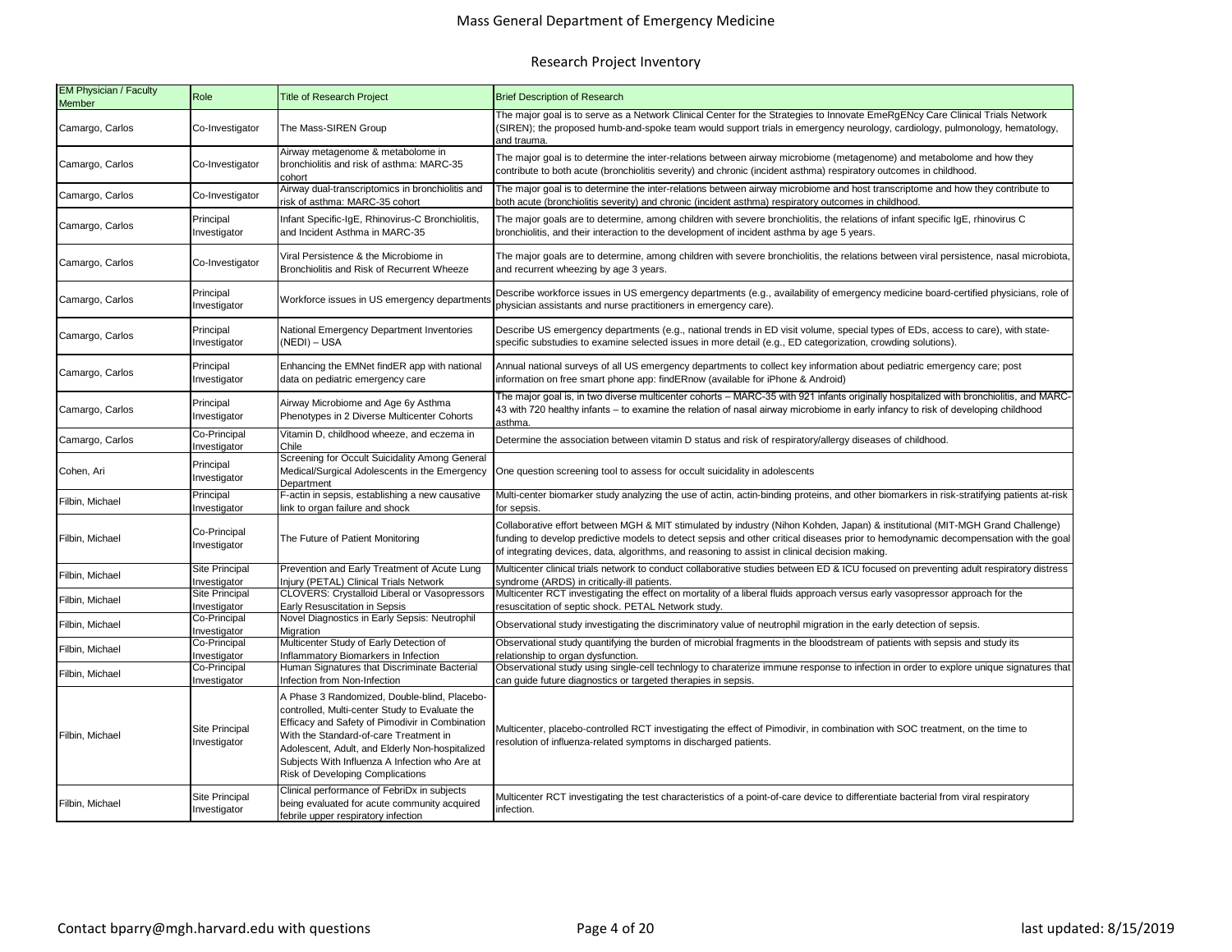| EM Physician / Faculty<br><b>Member</b> | Role                                  | <b>Title of Research Project</b>                                                                                                                                                                                                                                                                                                     | <b>Brief Description of Research</b>                                                                                                                                                                                                                                                                                                                                   |
|-----------------------------------------|---------------------------------------|--------------------------------------------------------------------------------------------------------------------------------------------------------------------------------------------------------------------------------------------------------------------------------------------------------------------------------------|------------------------------------------------------------------------------------------------------------------------------------------------------------------------------------------------------------------------------------------------------------------------------------------------------------------------------------------------------------------------|
| Camargo, Carlos                         | Co-Investigator                       | The Mass-SIREN Group                                                                                                                                                                                                                                                                                                                 | The major goal is to serve as a Network Clinical Center for the Strategies to Innovate EmeRgENcy Care Clinical Trials Network<br>(SIREN); the proposed humb-and-spoke team would support trials in emergency neurology, cardiology, pulmonology, hematology,<br>and trauma.                                                                                            |
| Camargo, Carlos                         | Co-Investigator                       | Airway metagenome & metabolome in<br>bronchiolitis and risk of asthma: MARC-35<br>cohort                                                                                                                                                                                                                                             | The major goal is to determine the inter-relations between airway microbiome (metagenome) and metabolome and how they<br>contribute to both acute (bronchiolitis severity) and chronic (incident asthma) respiratory outcomes in childhood.                                                                                                                            |
| Camargo, Carlos                         | Co-Investigator                       | Airway dual-transcriptomics in bronchiolitis and<br>risk of asthma: MARC-35 cohort                                                                                                                                                                                                                                                   | The major goal is to determine the inter-relations between airway microbiome and host transcriptome and how they contribute to<br>both acute (bronchiolitis severity) and chronic (incident asthma) respiratory outcomes in childhood.                                                                                                                                 |
| Camargo, Carlos                         | Principal<br>Investigator             | Infant Specific-IgE, Rhinovirus-C Bronchiolitis,<br>and Incident Asthma in MARC-35                                                                                                                                                                                                                                                   | The major goals are to determine, among children with severe bronchiolitis, the relations of infant specific IgE, rhinovirus C<br>bronchiolitis, and their interaction to the development of incident asthma by age 5 years.                                                                                                                                           |
| Camargo, Carlos                         | Co-Investigator                       | Viral Persistence & the Microbiome in<br>Bronchiolitis and Risk of Recurrent Wheeze                                                                                                                                                                                                                                                  | The major goals are to determine, among children with severe bronchiolitis, the relations between viral persistence, nasal microbiota,<br>and recurrent wheezing by age 3 years.                                                                                                                                                                                       |
| Camargo, Carlos                         | Principal<br>Investigator             | Workforce issues in US emergency departments                                                                                                                                                                                                                                                                                         | Describe workforce issues in US emergency departments (e.g., availability of emergency medicine board-certified physicians, role of<br>physician assistants and nurse practitioners in emergency care).                                                                                                                                                                |
| Camargo, Carlos                         | Principal<br>Investigator             | National Emergency Department Inventories<br>(NEDI) - USA                                                                                                                                                                                                                                                                            | Describe US emergency departments (e.g., national trends in ED visit volume, special types of EDs, access to care), with state-<br>specific substudies to examine selected issues in more detail (e.g., ED categorization, crowding solutions).                                                                                                                        |
| Camargo, Carlos                         | Principal<br>Investigator             | Enhancing the EMNet findER app with national<br>data on pediatric emergency care                                                                                                                                                                                                                                                     | Annual national surveys of all US emergency departments to collect key information about pediatric emergency care; post<br>information on free smart phone app: findERnow (available for iPhone & Android)                                                                                                                                                             |
| Camargo, Carlos                         | Principal<br>Investigator             | Airway Microbiome and Age 6y Asthma<br>Phenotypes in 2 Diverse Multicenter Cohorts                                                                                                                                                                                                                                                   | The major goal is, in two diverse multicenter cohorts – MARC-35 with 921 infants originally hospitalized with bronchiolitis, and MARC-<br>43 with 720 healthy infants – to examine the relation of nasal airway microbiome in early infancy to risk of developing childhood<br>asthma.                                                                                 |
| Camargo, Carlos                         | Co-Principal<br>nvestigator           | Vitamin D, childhood wheeze, and eczema in<br>Chile                                                                                                                                                                                                                                                                                  | Determine the association between vitamin D status and risk of respiratory/allergy diseases of childhood.                                                                                                                                                                                                                                                              |
| Cohen, Ari                              | Principal<br>nvestigator              | Screening for Occult Suicidality Among General<br>Medical/Surgical Adolescents in the Emergency<br>Department                                                                                                                                                                                                                        | One question screening tool to assess for occult suicidality in adolescents                                                                                                                                                                                                                                                                                            |
| Filbin, Michael                         | Principal<br>nvestigator              | F-actin in sepsis, establishing a new causative<br>link to organ failure and shock                                                                                                                                                                                                                                                   | Multi-center biomarker study analyzing the use of actin, actin-binding proteins, and other biomarkers in risk-stratifying patients at-risk<br>or sepsis.                                                                                                                                                                                                               |
| Filbin, Michael                         | Co-Principal<br>Investigator          | The Future of Patient Monitoring                                                                                                                                                                                                                                                                                                     | Collaborative effort between MGH & MIT stimulated by industry (Nihon Kohden, Japan) & institutional (MIT-MGH Grand Challenge)<br>funding to develop predictive models to detect sepsis and other critical diseases prior to hemodynamic decompensation with the goal<br>of integrating devices, data, algorithms, and reasoning to assist in clinical decision making. |
| Filbin, Michael                         | Site Principal<br>nvestigator         | Prevention and Early Treatment of Acute Lung<br>Iniury (PETAL) Clinical Trials Network                                                                                                                                                                                                                                               | Multicenter clinical trials network to conduct collaborative studies between ED & ICU focused on preventing adult respiratory distress<br>syndrome (ARDS) in critically-ill patients.                                                                                                                                                                                  |
| Filbin, Michael                         | Site Principal<br>nvestigator         | CLOVERS: Crystalloid Liberal or Vasopressors<br>Early Resuscitation in Sepsis                                                                                                                                                                                                                                                        | Multicenter RCT investigating the effect on mortality of a liberal fluids approach versus early vasopressor approach for the<br>resuscitation of septic shock. PETAL Network study.                                                                                                                                                                                    |
| Filbin, Michael                         | Co-Principal<br>Investigator          | Novel Diagnostics in Early Sepsis: Neutrophil<br>Migration                                                                                                                                                                                                                                                                           | Observational study investigating the discriminatory value of neutrophil migration in the early detection of sepsis.                                                                                                                                                                                                                                                   |
| Filbin, Michael                         | Co-Principal<br>nvestigator           | Multicenter Study of Early Detection of<br>Inflammatory Biomarkers in Infection                                                                                                                                                                                                                                                      | Observational study quantifying the burden of microbial fragments in the bloodstream of patients with sepsis and study its<br>relationship to organ dysfunction.                                                                                                                                                                                                       |
| Filbin, Michael                         | Co-Principal<br>nvestigator           | Human Signatures that Discriminate Bacterial<br>Infection from Non-Infection                                                                                                                                                                                                                                                         | Observational study using single-cell technlogy to charaterize immune response to infection in order to explore unique signatures that<br>can guide future diagnostics or targeted therapies in sepsis.                                                                                                                                                                |
| Filbin, Michael                         | Site Principal<br>nvestigator         | A Phase 3 Randomized, Double-blind, Placebo-<br>controlled, Multi-center Study to Evaluate the<br>Efficacy and Safety of Pimodivir in Combination<br>With the Standard-of-care Treatment in<br>Adolescent, Adult, and Elderly Non-hospitalized<br>Subjects With Influenza A Infection who Are at<br>Risk of Developing Complications | Multicenter, placebo-controlled RCT investigating the effect of Pimodivir, in combination with SOC treatment, on the time to<br>resolution of influenza-related symptoms in discharged patients.                                                                                                                                                                       |
| Filbin, Michael                         | <b>Site Principal</b><br>Investigator | Clinical performance of FebriDx in subjects<br>being evaluated for acute community acquired<br>febrile upper respiratory infection                                                                                                                                                                                                   | Multicenter RCT investigating the test characteristics of a point-of-care device to differentiate bacterial from viral respiratory<br>infection.                                                                                                                                                                                                                       |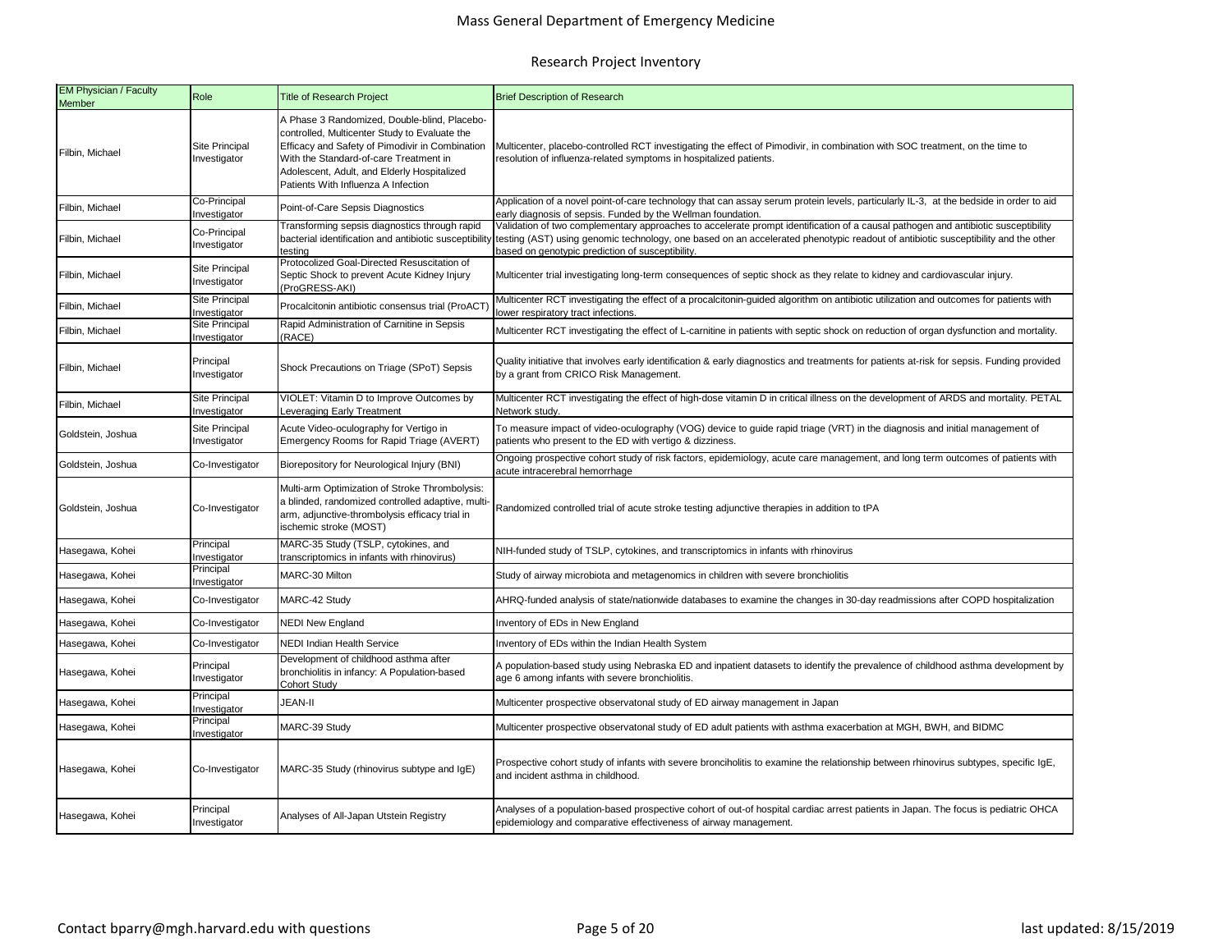| <b>EM Physician / Faculty</b><br>Member | Role                                  | <b>Title of Research Project</b>                                                                                                                                                                                                                                                 | <b>Brief Description of Research</b>                                                                                                                                                                                                                                                                                       |  |  |
|-----------------------------------------|---------------------------------------|----------------------------------------------------------------------------------------------------------------------------------------------------------------------------------------------------------------------------------------------------------------------------------|----------------------------------------------------------------------------------------------------------------------------------------------------------------------------------------------------------------------------------------------------------------------------------------------------------------------------|--|--|
| Filbin, Michael                         | Site Principal<br>Investigator        | A Phase 3 Randomized, Double-blind, Placebo-<br>controlled, Multicenter Study to Evaluate the<br>Efficacy and Safety of Pimodivir in Combination<br>With the Standard-of-care Treatment in<br>Adolescent, Adult, and Elderly Hospitalized<br>Patients With Influenza A Infection | Multicenter, placebo-controlled RCT investigating the effect of Pimodivir, in combination with SOC treatment, on the time to<br>resolution of influenza-related symptoms in hospitalized patients.                                                                                                                         |  |  |
| Filbin, Michael                         | Co-Principal<br>nvestigator           | Point-of-Care Sepsis Diagnostics                                                                                                                                                                                                                                                 | Application of a novel point-of-care technology that can assay serum protein levels, particularly IL-3, at the bedside in order to aid<br>early diagnosis of sepsis. Funded by the Wellman foundation.                                                                                                                     |  |  |
| Filbin, Michael                         | Co-Principal<br>Investigator          | Transforming sepsis diagnostics through rapid<br>bacterial identification and antibiotic susceptibility<br>testing                                                                                                                                                               | Validation of two complementary approaches to accelerate prompt identification of a causal pathogen and antibiotic susceptibility<br>testing (AST) using genomic technology, one based on an accelerated phenotypic readout of antibiotic susceptibility and the other<br>based on genotypic prediction of susceptibility. |  |  |
| Filbin, Michael                         | <b>Site Principal</b><br>Investigator | Protocolized Goal-Directed Resuscitation of<br>Septic Shock to prevent Acute Kidney Injury<br>(ProGRESS-AKI)                                                                                                                                                                     | Multicenter trial investigating long-term consequences of septic shock as they relate to kidney and cardiovascular injury.                                                                                                                                                                                                 |  |  |
| Filbin, Michael                         | Site Principal<br>nvestigator         | Procalcitonin antibiotic consensus trial (ProACT)                                                                                                                                                                                                                                | Multicenter RCT investigating the effect of a procalcitonin-guided algorithm on antibiotic utilization and outcomes for patients with<br>ower respiratory tract infections                                                                                                                                                 |  |  |
| Filbin, Michael                         | <b>Site Principal</b><br>Investigator | Rapid Administration of Carnitine in Sepsis<br>(RACE)                                                                                                                                                                                                                            | Multicenter RCT investigating the effect of L-carnitine in patients with septic shock on reduction of organ dysfunction and mortality.                                                                                                                                                                                     |  |  |
| Filbin, Michael                         | Principal<br>Investigator             | Shock Precautions on Triage (SPoT) Sepsis                                                                                                                                                                                                                                        | Quality initiative that involves early identification & early diagnostics and treatments for patients at-risk for sepsis. Funding provided<br>by a grant from CRICO Risk Management.                                                                                                                                       |  |  |
| Filbin, Michael                         | Site Principal<br>nvestigator         | VIOLET: Vitamin D to Improve Outcomes by<br>Leveraging Early Treatment                                                                                                                                                                                                           | Multicenter RCT investigating the effect of high-dose vitamin D in critical illness on the development of ARDS and mortality. PETAL<br>Network study.                                                                                                                                                                      |  |  |
| Goldstein, Joshua                       | <b>Site Principal</b><br>Investigator | Acute Video-oculography for Vertigo in<br>Emergency Rooms for Rapid Triage (AVERT)                                                                                                                                                                                               | To measure impact of video-oculography (VOG) device to guide rapid triage (VRT) in the diagnosis and initial management of<br>patients who present to the ED with vertigo & dizziness.                                                                                                                                     |  |  |
| Goldstein, Joshua                       | Co-Investigator                       | Biorepository for Neurological Injury (BNI)                                                                                                                                                                                                                                      | Ongoing prospective cohort study of risk factors, epidemiology, acute care management, and long term outcomes of patients with<br>acute intracerebral hemorrhage                                                                                                                                                           |  |  |
| Goldstein, Joshua                       | Co-Investigator                       | Multi-arm Optimization of Stroke Thrombolysis:<br>a blinded, randomized controlled adaptive, multi-<br>arm, adjunctive-thrombolysis efficacy trial in<br>ischemic stroke (MOST)                                                                                                  | Randomized controlled trial of acute stroke testing adjunctive therapies in addition to tPA                                                                                                                                                                                                                                |  |  |
| Hasegawa, Kohei                         | Principal<br>nvestigator              | MARC-35 Study (TSLP, cytokines, and<br>transcriptomics in infants with rhinovirus)                                                                                                                                                                                               | NIH-funded study of TSLP, cytokines, and transcriptomics in infants with rhinovirus                                                                                                                                                                                                                                        |  |  |
| Hasegawa, Kohei                         | Principal<br>nvestigator              | MARC-30 Milton                                                                                                                                                                                                                                                                   | Study of airway microbiota and metagenomics in children with severe bronchiolitis                                                                                                                                                                                                                                          |  |  |
| Hasegawa, Kohei                         | Co-Investigator                       | MARC-42 Study                                                                                                                                                                                                                                                                    | AHRQ-funded analysis of state/nationwide databases to examine the changes in 30-day readmissions after COPD hospitalization                                                                                                                                                                                                |  |  |
| Hasegawa, Kohei                         | Co-Investigator                       | <b>NEDI New England</b>                                                                                                                                                                                                                                                          | Inventory of EDs in New England                                                                                                                                                                                                                                                                                            |  |  |
| Hasegawa, Kohei                         | Co-Investigator                       | <b>NEDI Indian Health Service</b>                                                                                                                                                                                                                                                | nventory of EDs within the Indian Health System                                                                                                                                                                                                                                                                            |  |  |
| Hasegawa, Kohei                         | Principal<br>Investigator             | Development of childhood asthma after<br>bronchiolitis in infancy: A Population-based<br>Cohort Study                                                                                                                                                                            | A population-based study using Nebraska ED and inpatient datasets to identify the prevalence of childhood asthma development by<br>age 6 among infants with severe bronchiolitis.                                                                                                                                          |  |  |
| Hasegawa, Kohei                         | Principal<br>nvestigator              | <b>JEAN-II</b>                                                                                                                                                                                                                                                                   | Multicenter prospective observatonal study of ED airway management in Japan                                                                                                                                                                                                                                                |  |  |
| Hasegawa, Kohei                         | Principal<br>nvestigator              | MARC-39 Study                                                                                                                                                                                                                                                                    | Multicenter prospective observatonal study of ED adult patients with asthma exacerbation at MGH, BWH, and BIDMC                                                                                                                                                                                                            |  |  |
| Hasegawa, Kohei                         | Co-Investigator                       | MARC-35 Study (rhinovirus subtype and IgE)                                                                                                                                                                                                                                       | Prospective cohort study of infants with severe bronciholitis to examine the relationship between rhinovirus subtypes, specific IgE,<br>and incident asthma in childhood.                                                                                                                                                  |  |  |
| Hasegawa, Kohei                         | Principal<br>Investigator             | Analyses of All-Japan Utstein Registry                                                                                                                                                                                                                                           | Analyses of a population-based prospective cohort of out-of hospital cardiac arrest patients in Japan. The focus is pediatric OHCA<br>epidemiology and comparative effectiveness of airway management.                                                                                                                     |  |  |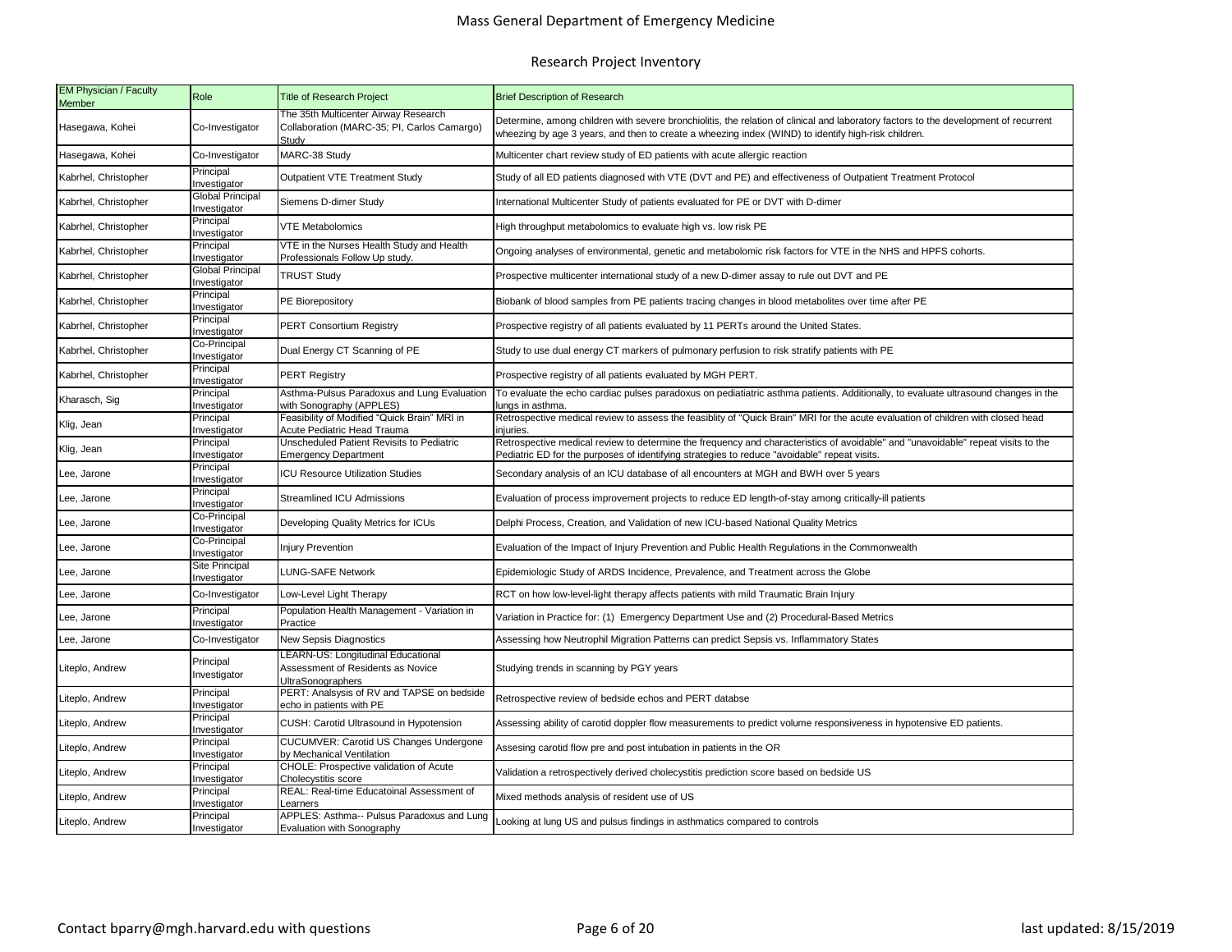## Mass General Department of Emergency Medicine

| <b>EM Physician / Faculty</b><br>Member | Role                            | <b>Title of Research Project</b>                                                                    | <b>Brief Description of Research</b>                                                                                                                                                                                                        |  |  |
|-----------------------------------------|---------------------------------|-----------------------------------------------------------------------------------------------------|---------------------------------------------------------------------------------------------------------------------------------------------------------------------------------------------------------------------------------------------|--|--|
| Hasegawa, Kohei                         | Co-Investigator                 | The 35th Multicenter Airway Research<br>Collaboration (MARC-35; PI, Carlos Camargo)<br>Studv        | Determine, among children with severe bronchiolitis, the relation of clinical and laboratory factors to the development of recurrent<br>wheezing by age 3 years, and then to create a wheezing index (WIND) to identify high-risk children. |  |  |
| Hasegawa, Kohei                         | Co-Investigator                 | MARC-38 Study                                                                                       | Multicenter chart review study of ED patients with acute allergic reaction                                                                                                                                                                  |  |  |
| Kabrhel, Christopher                    | Principal<br>nvestigator        | Outpatient VTE Treatment Study                                                                      | Study of all ED patients diagnosed with VTE (DVT and PE) and effectiveness of Outpatient Treatment Protocol                                                                                                                                 |  |  |
| Kabrhel, Christopher                    | Global Principal<br>nvestigator | Siemens D-dimer Study                                                                               | International Multicenter Study of patients evaluated for PE or DVT with D-dimer                                                                                                                                                            |  |  |
| Kabrhel, Christopher                    | Principal<br>Investigator       | <b>VTE Metabolomics</b>                                                                             | High throughput metabolomics to evaluate high vs. low risk PE                                                                                                                                                                               |  |  |
| Kabrhel, Christopher                    | Principal<br>Investigator       | VTE in the Nurses Health Study and Health<br>Professionals Follow Up study.                         | Ongoing analyses of environmental, genetic and metabolomic risk factors for VTE in the NHS and HPFS cohorts.                                                                                                                                |  |  |
| Kabrhel, Christopher                    | Global Principal<br>nvestigator | <b>TRUST Study</b>                                                                                  | Prospective multicenter international study of a new D-dimer assay to rule out DVT and PE                                                                                                                                                   |  |  |
| Kabrhel, Christopher                    | Principal<br>Investigator       | PE Biorepository                                                                                    | Biobank of blood samples from PE patients tracing changes in blood metabolites over time after PE                                                                                                                                           |  |  |
| Kabrhel, Christopher                    | Principal<br>Investigator       | <b>PERT Consortium Registry</b>                                                                     | Prospective registry of all patients evaluated by 11 PERTs around the United States.                                                                                                                                                        |  |  |
| Kabrhel, Christopher                    | Co-Principal<br>Investigator    | Dual Energy CT Scanning of PE                                                                       | Study to use dual energy CT markers of pulmonary perfusion to risk stratify patients with PE                                                                                                                                                |  |  |
| Kabrhel, Christopher                    | Principal<br>Investigator       | <b>PERT Registry</b>                                                                                | Prospective registry of all patients evaluated by MGH PERT.                                                                                                                                                                                 |  |  |
| Kharasch, Sig                           | Principal<br>nvestigator        | Asthma-Pulsus Paradoxus and Lung Evaluation<br>with Sonography (APPLES)                             | To evaluate the echo cardiac pulses paradoxus on pediatiatric asthma patients. Additionally, to evaluate ultrasound changes in the<br>unas in asthma                                                                                        |  |  |
| Klig, Jean                              | Principal<br>Investigator       | Feasibility of Modified "Quick Brain" MRI in<br>Acute Pediatric Head Trauma                         | Retrospective medical review to assess the feasiblity of "Quick Brain" MRI for the acute evaluation of children with closed head                                                                                                            |  |  |
| Klig, Jean                              | Principal<br>nvestigator        | Unscheduled Patient Revisits to Pediatric<br><b>Emergency Department</b>                            | Retrospective medical review to determine the frequency and characteristics of avoidable" and "unavoidable" repeat visits to the<br>Pediatric ED for the purposes of identifying strategies to reduce "avoidable" repeat visits.            |  |  |
| Lee, Jarone                             | Principal<br>Investigator       | <b>ICU Resource Utilization Studies</b>                                                             | injuries.<br>Secondary analysis of an ICU database of all encounters at MGH and BWH over 5 years                                                                                                                                            |  |  |
| Lee, Jarone                             | Principal<br>Investigator       | <b>Streamlined ICU Admissions</b>                                                                   | Evaluation of process improvement projects to reduce ED length-of-stay among critically-ill patients                                                                                                                                        |  |  |
| Lee, Jarone                             | Co-Principal<br>Investigator    | Developing Quality Metrics for ICUs                                                                 | Delphi Process, Creation, and Validation of new ICU-based National Quality Metrics                                                                                                                                                          |  |  |
| Lee, Jarone                             | Co-Principal<br>Investigator    | <b>Injury Prevention</b>                                                                            | Evaluation of the Impact of Injury Prevention and Public Health Regulations in the Commonwealth                                                                                                                                             |  |  |
| Lee, Jarone                             | Site Principal<br>Investigator  | <b>LUNG-SAFE Network</b>                                                                            | Epidemiologic Study of ARDS Incidence, Prevalence, and Treatment across the Globe                                                                                                                                                           |  |  |
| Lee, Jarone                             | Co-Investigator                 | Low-Level Light Therapy                                                                             | RCT on how low-level-light therapy affects patients with mild Traumatic Brain Injury                                                                                                                                                        |  |  |
| Lee, Jarone                             | Principal<br>nvestigator        | Population Health Management - Variation in<br>Practice                                             | Variation in Practice for: (1) Emergency Department Use and (2) Procedural-Based Metrics                                                                                                                                                    |  |  |
| Lee, Jarone                             | Co-Investigator                 | <b>New Sepsis Diagnostics</b>                                                                       | Assessing how Neutrophil Migration Patterns can predict Sepsis vs. Inflammatory States                                                                                                                                                      |  |  |
| Liteplo, Andrew                         | Principal<br>Investigator       | LEARN-US: Longitudinal Educational<br>Assessment of Residents as Novice<br><b>JItraSonographers</b> | Studying trends in scanning by PGY years                                                                                                                                                                                                    |  |  |
| Liteplo, Andrew                         | Principal<br>Investigator       | PERT: Analsysis of RV and TAPSE on bedside<br>echo in patients with PE                              | Retrospective review of bedside echos and PERT databse                                                                                                                                                                                      |  |  |
| Liteplo, Andrew                         | Principal<br>nvestigator        | CUSH: Carotid Ultrasound in Hypotension                                                             | Assessing ability of carotid doppler flow measurements to predict volume responsiveness in hypotensive ED patients.                                                                                                                         |  |  |
| Liteplo, Andrew                         | Principal<br>nvestigator        | CUCUMVER: Carotid US Changes Undergone<br>by Mechanical Ventilation                                 | Assesing carotid flow pre and post intubation in patients in the OR                                                                                                                                                                         |  |  |
| Liteplo, Andrew                         | Principal<br>nvestigator        | CHOLE: Prospective validation of Acute<br>Cholecystitis score                                       | Validation a retrospectively derived cholecystitis prediction score based on bedside US                                                                                                                                                     |  |  |
| Liteplo, Andrew                         | Principal<br>Investigator       | REAL: Real-time Educatoinal Assessment of<br>Learners                                               | Mixed methods analysis of resident use of US                                                                                                                                                                                                |  |  |
| Liteplo, Andrew                         | Principal<br>Investigator       | APPLES: Asthma-- Pulsus Paradoxus and Lung<br>Evaluation with Sonography                            | Looking at lung US and pulsus findings in asthmatics compared to controls                                                                                                                                                                   |  |  |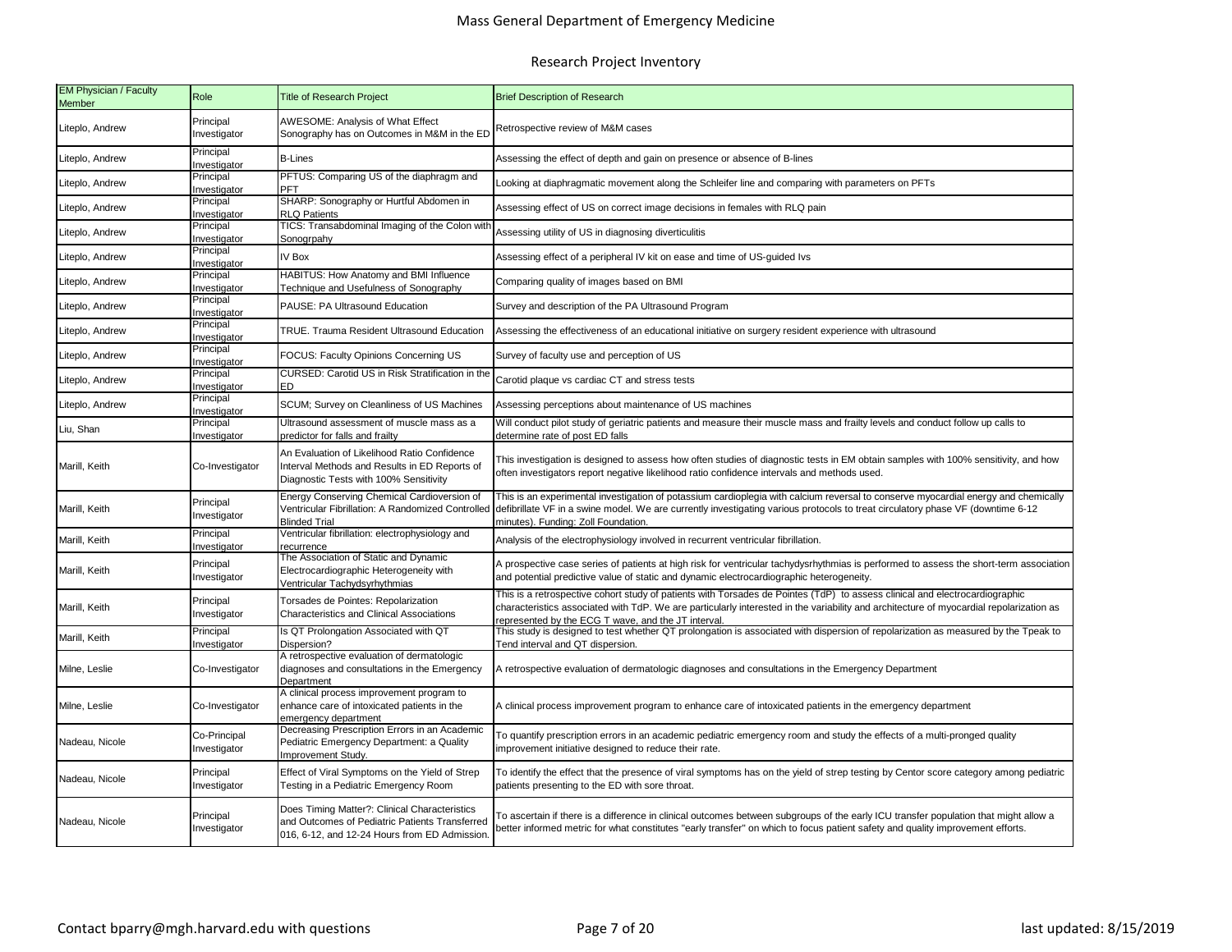| <b>EM Physician / Faculty</b><br><b>Member</b> | Role                         | <b>Title of Research Project</b>                                                                                                                 | <b>Brief Description of Research</b>                                                                                                                                                                                                                                                                                          |  |  |
|------------------------------------------------|------------------------------|--------------------------------------------------------------------------------------------------------------------------------------------------|-------------------------------------------------------------------------------------------------------------------------------------------------------------------------------------------------------------------------------------------------------------------------------------------------------------------------------|--|--|
| Liteplo, Andrew                                | Principal<br>Investigator    | AWESOME: Analysis of What Effect<br>Sonography has on Outcomes in M&M in the ED                                                                  | Retrospective review of M&M cases                                                                                                                                                                                                                                                                                             |  |  |
| Liteplo, Andrew                                | Principal<br>Investigator    | <b>B-Lines</b>                                                                                                                                   | Assessing the effect of depth and gain on presence or absence of B-lines                                                                                                                                                                                                                                                      |  |  |
| Liteplo, Andrew                                | Principal<br>Investigator    | PFTUS: Comparing US of the diaphragm and<br>PFT                                                                                                  | ooking at diaphragmatic movement along the Schleifer line and comparing with parameters on PFTs                                                                                                                                                                                                                               |  |  |
| Liteplo, Andrew                                | Principal<br>Investigator    | SHARP: Sonography or Hurtful Abdomen in<br><b>RLQ Patients</b>                                                                                   | Assessing effect of US on correct image decisions in females with RLQ pain                                                                                                                                                                                                                                                    |  |  |
| Liteplo, Andrew                                | Principal<br>nvestigator     | <b>TICS: Transabdominal Imaging of the Colon with</b><br>Sonogrpahy                                                                              | Assessing utility of US in diagnosing diverticulitis                                                                                                                                                                                                                                                                          |  |  |
| Liteplo, Andrew                                | Principal<br>Investigator    | IV Box                                                                                                                                           | Assessing effect of a peripheral IV kit on ease and time of US-guided Ivs                                                                                                                                                                                                                                                     |  |  |
| Liteplo, Andrew                                | Principal<br>nvestigator     | HABITUS: How Anatomy and BMI Influence<br><b>Technique and Usefulness of Sonography</b>                                                          | Comparing quality of images based on BMI                                                                                                                                                                                                                                                                                      |  |  |
| Liteplo, Andrew                                | Principal<br>Investigator    | PAUSE: PA Ultrasound Education                                                                                                                   | Survey and description of the PA Ultrasound Program                                                                                                                                                                                                                                                                           |  |  |
| Liteplo, Andrew                                | Principal<br>Investigator    | TRUE. Trauma Resident Ultrasound Education                                                                                                       | Assessing the effectiveness of an educational initiative on surgery resident experience with ultrasound<br>Survey of faculty use and perception of US                                                                                                                                                                         |  |  |
| Liteplo, Andrew                                | Principal<br>Investigator    | FOCUS: Faculty Opinions Concerning US                                                                                                            |                                                                                                                                                                                                                                                                                                                               |  |  |
| Liteplo, Andrew                                | Principal<br>Investigator    | CURSED: Carotid US in Risk Stratification in the<br>ED                                                                                           | Carotid plaque vs cardiac CT and stress tests                                                                                                                                                                                                                                                                                 |  |  |
| Liteplo, Andrew                                | Principal<br>nvestigator     | SCUM; Survey on Cleanliness of US Machines                                                                                                       |                                                                                                                                                                                                                                                                                                                               |  |  |
| Liu, Shan                                      | Principal<br>Investigator    | Ultrasound assessment of muscle mass as a<br>predictor for falls and frailty                                                                     | Assessing perceptions about maintenance of US machines<br>Will conduct pilot study of geriatric patients and measure their muscle mass and frailty levels and conduct follow up calls to                                                                                                                                      |  |  |
| Marill, Keith                                  | Co-Investigator              | An Evaluation of Likelihood Ratio Confidence<br>Interval Methods and Results in ED Reports of<br>Diagnostic Tests with 100% Sensitivity          | determine rate of post ED falls<br>This investigation is designed to assess how often studies of diagnostic tests in EM obtain samples with 100% sensitivity, and how<br>often investigators report negative likelihood ratio confidence intervals and methods used.                                                          |  |  |
| Marill, Keith                                  | Principal<br>Investigator    | Energy Conserving Chemical Cardioversion of<br>Ventricular Fibrillation: A Randomized Controlled<br><b>Blinded Trial</b>                         | This is an experimental investigation of potassium cardioplegia with calcium reversal to conserve myocardial energy and chemically<br>defibrillate VF in a swine model. We are currently investigating various protocols to treat circulatory phase VF (downtime 6-12<br>minutes). Funding: Zoll Foundation.                  |  |  |
| Marill, Keith                                  | Principal<br>Investigator    | Ventricular fibrillation: electrophysiology and<br>recurrence                                                                                    | Analysis of the electrophysiology involved in recurrent ventricular fibrillation.                                                                                                                                                                                                                                             |  |  |
| Marill, Keith                                  | Principal<br>Investigator    | The Association of Static and Dynamic<br>Electrocardiographic Heterogeneity with<br>Ventricular Tachydsyrhythmias                                | A prospective case series of patients at high risk for ventricular tachydysrhythmias is performed to assess the short-term association<br>and potential predictive value of static and dynamic electrocardiographic heterogeneity.                                                                                            |  |  |
| Marill, Keith                                  | Principal<br>Investigator    | Torsades de Pointes: Repolarization<br><b>Characteristics and Clinical Associations</b>                                                          | This is a retrospective cohort study of patients with Torsades de Pointes (TdP) to assess clinical and electrocardiographic<br>characteristics associated with TdP. We are particularly interested in the variability and architecture of myocardial repolarization as<br>represented by the ECG T wave, and the JT interval. |  |  |
| Marill, Keith                                  | Principal<br>Investigator    | Is QT Prolongation Associated with QT<br>Dispersion?                                                                                             | This study is designed to test whether QT prolongation is associated with dispersion of repolarization as measured by the Tpeak to<br>Tend interval and QT dispersion.                                                                                                                                                        |  |  |
| Milne, Leslie                                  | Co-Investigator              | A retrospective evaluation of dermatologic<br>diagnoses and consultations in the Emergency<br>Department                                         | A retrospective evaluation of dermatologic diagnoses and consultations in the Emergency Department                                                                                                                                                                                                                            |  |  |
| Milne, Leslie                                  | Co-Investigator              | A clinical process improvement program to<br>enhance care of intoxicated patients in the<br>emergency department                                 | A clinical process improvement program to enhance care of intoxicated patients in the emergency department                                                                                                                                                                                                                    |  |  |
| Nadeau, Nicole                                 | Co-Principal<br>Investigator | Decreasing Prescription Errors in an Academic<br>Pediatric Emergency Department: a Quality<br>Improvement Study.                                 | To quantify prescription errors in an academic pediatric emergency room and study the effects of a multi-pronged quality<br>mprovement initiative designed to reduce their rate.                                                                                                                                              |  |  |
| Nadeau, Nicole                                 | Principal<br>Investigator    | Effect of Viral Symptoms on the Yield of Strep<br>Testing in a Pediatric Emergency Room                                                          | To identify the effect that the presence of viral symptoms has on the yield of strep testing by Centor score category among pediatric<br>patients presenting to the ED with sore throat.                                                                                                                                      |  |  |
| Nadeau, Nicole                                 | Principal<br>Investigator    | Does Timing Matter?: Clinical Characteristics<br>and Outcomes of Pediatric Patients Transferred<br>016, 6-12, and 12-24 Hours from ED Admission. | To ascertain if there is a difference in clinical outcomes between subgroups of the early ICU transfer population that might allow a<br>better informed metric for what constitutes "early transfer" on which to focus patient safety and quality improvement efforts.                                                        |  |  |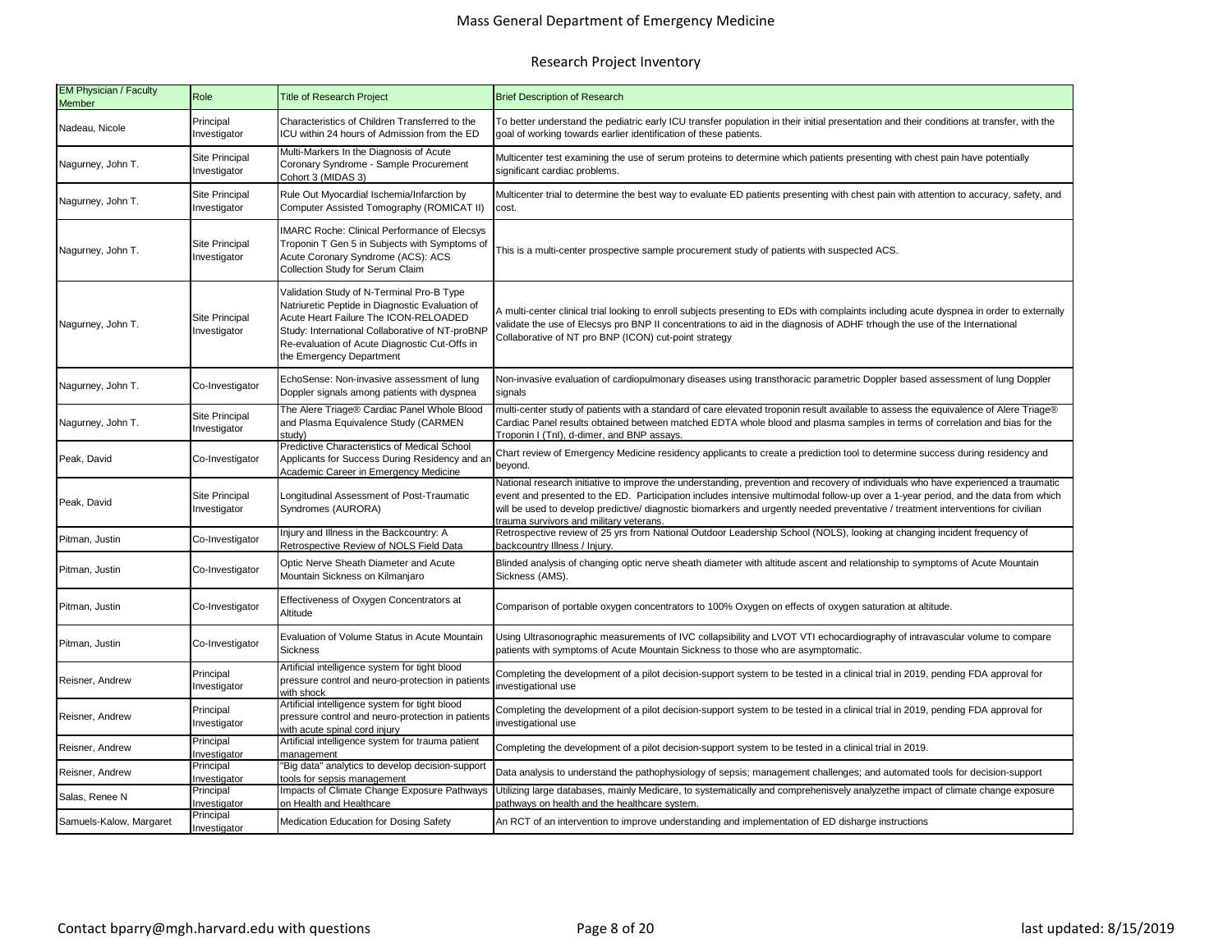| EM Physician / Faculty<br><b>Member</b> | Role                                  | <b>Title of Research Project</b>                                                                                                                                                                                                                                      | <b>Brief Description of Research</b>                                                                                                                                                                                                                                                                                                                                                                                                                    |  |  |
|-----------------------------------------|---------------------------------------|-----------------------------------------------------------------------------------------------------------------------------------------------------------------------------------------------------------------------------------------------------------------------|---------------------------------------------------------------------------------------------------------------------------------------------------------------------------------------------------------------------------------------------------------------------------------------------------------------------------------------------------------------------------------------------------------------------------------------------------------|--|--|
| Nadeau, Nicole                          | Principal<br>Investigator             | Characteristics of Children Transferred to the<br>ICU within 24 hours of Admission from the ED                                                                                                                                                                        | To better understand the pediatric early ICU transfer population in their initial presentation and their conditions at transfer, with the<br>goal of working towards earlier identification of these patients.                                                                                                                                                                                                                                          |  |  |
| Nagurney, John T.                       | Site Principal<br>Investigator        | Multi-Markers In the Diagnosis of Acute<br>Coronary Syndrome - Sample Procurement<br>Cohort 3 (MIDAS 3)                                                                                                                                                               | Multicenter test examining the use of serum proteins to determine which patients presenting with chest pain have potentially<br>significant cardiac problems.                                                                                                                                                                                                                                                                                           |  |  |
| Nagurney, John T.                       | Site Principal<br>Investigator        | Rule Out Myocardial Ischemia/Infarction by<br>Computer Assisted Tomography (ROMICAT II)                                                                                                                                                                               | Multicenter trial to determine the best way to evaluate ED patients presenting with chest pain with attention to accuracy, safety, and<br>cost.                                                                                                                                                                                                                                                                                                         |  |  |
| Nagurney, John T.                       | Site Principal<br>Investigator        | <b>IMARC Roche: Clinical Performance of Elecsys</b><br>Troponin T Gen 5 in Subjects with Symptoms of<br>Acute Coronary Syndrome (ACS): ACS<br>Collection Study for Serum Claim                                                                                        | This is a multi-center prospective sample procurement study of patients with suspected ACS.                                                                                                                                                                                                                                                                                                                                                             |  |  |
| Nagurney, John T.                       | <b>Site Principal</b><br>Investigator | Validation Study of N-Terminal Pro-B Type<br>Natriuretic Peptide in Diagnostic Evaluation of<br>Acute Heart Failure The ICON-RELOADED<br>Study: International Collaborative of NT-proBNP<br>Re-evaluation of Acute Diagnostic Cut-Offs in<br>the Emergency Department | A multi-center clinical trial looking to enroll subjects presenting to EDs with complaints including acute dyspnea in order to externally<br>validate the use of Elecsys pro BNP II concentrations to aid in the diagnosis of ADHF trhough the use of the International<br>Collaborative of NT pro BNP (ICON) cut-point strategy                                                                                                                        |  |  |
| Nagurney, John T.                       | Co-Investigator                       | EchoSense: Non-invasive assessment of lung<br>Doppler signals among patients with dyspnea                                                                                                                                                                             | Non-invasive evaluation of cardiopulmonary diseases using transthoracic parametric Doppler based assessment of lung Doppler<br>signals                                                                                                                                                                                                                                                                                                                  |  |  |
| Nagurney, John T.                       | Site Principal<br>nvestigator         | The Alere Triage® Cardiac Panel Whole Blood<br>and Plasma Equivalence Study (CARMEN<br>studv)                                                                                                                                                                         | multi-center study of patients with a standard of care elevated troponin result available to assess the equivalence of Alere Triage®<br>Cardiac Panel results obtained between matched EDTA whole blood and plasma samples in terms of correlation and bias for the<br>Troponin I (Tnl), d-dimer, and BNP assays                                                                                                                                        |  |  |
| Peak, David                             | Co-Investigator                       | Predictive Characteristics of Medical School<br>Applicants for Success During Residency and ar<br>Academic Career in Emergency Medicine                                                                                                                               | Chart review of Emergency Medicine residency applicants to create a prediction tool to determine success during residency and<br>beyond.                                                                                                                                                                                                                                                                                                                |  |  |
| Peak, David                             | Site Principal<br>nvestigator         | Longitudinal Assessment of Post-Traumatic<br>Syndromes (AURORA)                                                                                                                                                                                                       | National research initiative to improve the understanding, prevention and recovery of individuals who have experienced a traumatic<br>event and presented to the ED. Participation includes intensive multimodal follow-up over a 1-year period, and the data from which<br>will be used to develop predictive/diagnostic biomarkers and urgently needed preventative / treatment interventions for civilian<br>trauma survivors and military veterans. |  |  |
| Pitman, Justin                          | Co-Investigator                       | Injury and Illness in the Backcountry: A<br>Retrospective Review of NOLS Field Data                                                                                                                                                                                   | Retrospective review of 25 yrs from National Outdoor Leadership School (NOLS), looking at changing incident frequency of<br>backcountry Illness / Injury.                                                                                                                                                                                                                                                                                               |  |  |
| Pitman, Justin                          | Co-Investigator                       | Optic Nerve Sheath Diameter and Acute<br>Mountain Sickness on Kilmanjaro                                                                                                                                                                                              | Blinded analysis of changing optic nerve sheath diameter with altitude ascent and relationship to symptoms of Acute Mountain<br>Sickness (AMS).                                                                                                                                                                                                                                                                                                         |  |  |
| Pitman, Justin                          | Co-Investigator                       | Effectiveness of Oxygen Concentrators at<br>Altitude                                                                                                                                                                                                                  | Comparison of portable oxygen concentrators to 100% Oxygen on effects of oxygen saturation at altitude.                                                                                                                                                                                                                                                                                                                                                 |  |  |
| Pitman, Justin                          | Co-Investigator                       | Evaluation of Volume Status in Acute Mountain<br><b>Sickness</b>                                                                                                                                                                                                      | Using Ultrasonographic measurements of IVC collapsibility and LVOT VTI echocardiography of intravascular volume to compare<br>patients with symptoms of Acute Mountain Sickness to those who are asymptomatic.                                                                                                                                                                                                                                          |  |  |
| Reisner, Andrew                         | Principal<br>Investigator             | Artificial intelligence system for tight blood<br>pressure control and neuro-protection in patients<br>with shock                                                                                                                                                     | Completing the development of a pilot decision-support system to be tested in a clinical trial in 2019, pending FDA approval for<br>investigational use                                                                                                                                                                                                                                                                                                 |  |  |
| Reisner, Andrew                         | Principal<br>nvestigator              | Artificial intelligence system for tight blood<br>pressure control and neuro-protection in patients<br>with acute spinal cord injury                                                                                                                                  | Completing the development of a pilot decision-support system to be tested in a clinical trial in 2019, pending FDA approval for<br>investigational use                                                                                                                                                                                                                                                                                                 |  |  |
| Reisner, Andrew                         | Principal<br>nvestigator              | Artificial intelligence system for trauma patient<br>management                                                                                                                                                                                                       | Completing the development of a pilot decision-support system to be tested in a clinical trial in 2019.                                                                                                                                                                                                                                                                                                                                                 |  |  |
| Reisner, Andrew                         | Principal<br>nvestigator              | "Big data" analytics to develop decision-support<br>tools for sepsis management                                                                                                                                                                                       | Data analysis to understand the pathophysiology of sepsis; management challenges; and automated tools for decision-support                                                                                                                                                                                                                                                                                                                              |  |  |
| Salas, Renee N                          | Principal<br>nvestigator              | Impacts of Climate Change Exposure Pathways<br>on Health and Healthcare                                                                                                                                                                                               | Utilizing large databases, mainly Medicare, to systematically and comprehenisvely analyzethe impact of climate change exposure<br>bathways on health and the healthcare system.                                                                                                                                                                                                                                                                         |  |  |
| Samuels-Kalow, Margaret                 | Principal<br>Investigator             | Medication Education for Dosing Safety                                                                                                                                                                                                                                | An RCT of an intervention to improve understanding and implementation of ED disharge instructions                                                                                                                                                                                                                                                                                                                                                       |  |  |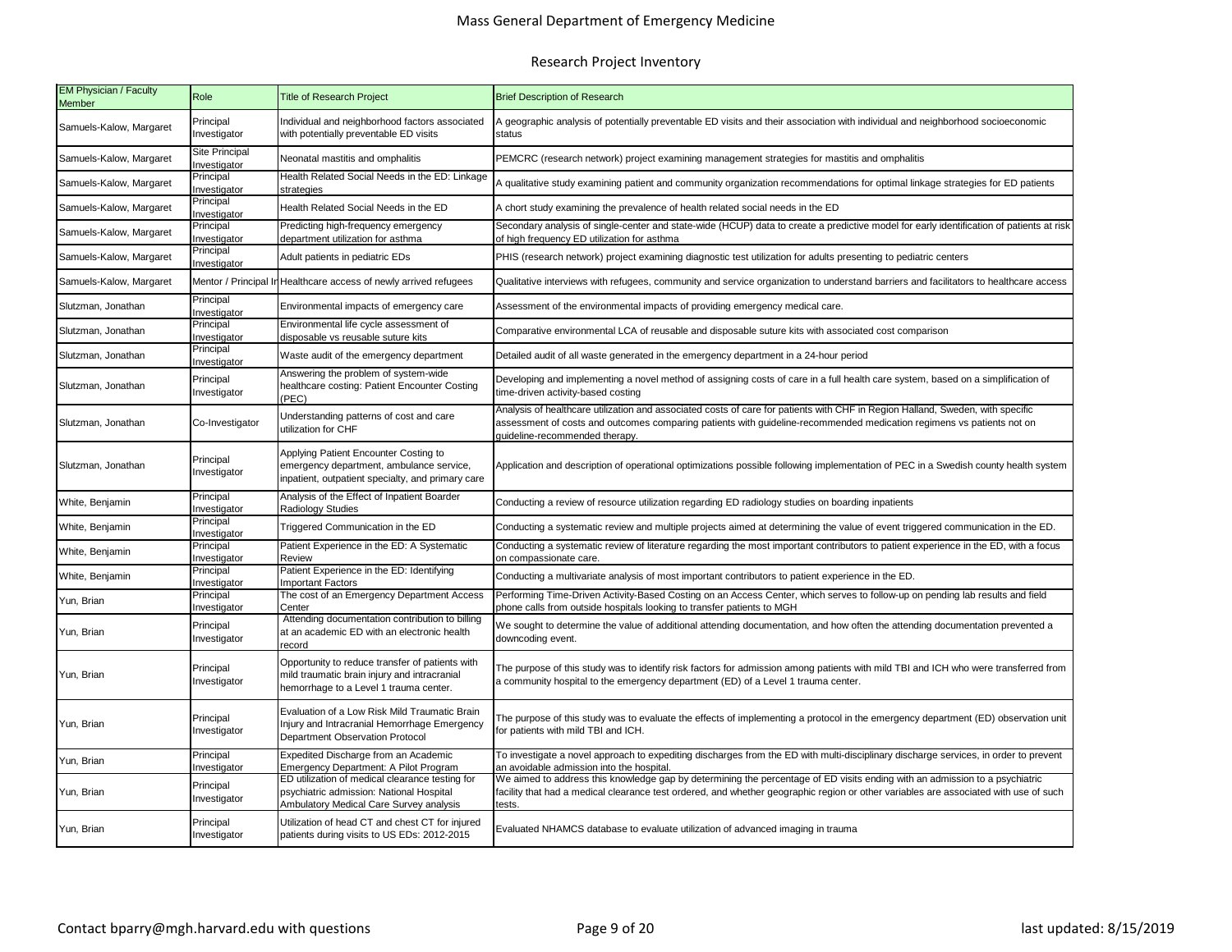| <b>EM Physician / Faculty</b><br><b>Member</b> | Role                                 | <b>Title of Research Project</b>                                                                                                          | <b>Brief Description of Research</b>                                                                                                                                                                                                                                                          |  |  |
|------------------------------------------------|--------------------------------------|-------------------------------------------------------------------------------------------------------------------------------------------|-----------------------------------------------------------------------------------------------------------------------------------------------------------------------------------------------------------------------------------------------------------------------------------------------|--|--|
| Samuels-Kalow, Margaret                        | Principal<br>Investigator            | Individual and neighborhood factors associated<br>with potentially preventable ED visits                                                  | A geographic analysis of potentially preventable ED visits and their association with individual and neighborhood socioeconomic<br>status                                                                                                                                                     |  |  |
| Samuels-Kalow, Margaret                        | Site Principal<br>nvestigator        | Neonatal mastitis and omphalitis                                                                                                          | PEMCRC (research network) project examining management strategies for mastitis and omphalitis                                                                                                                                                                                                 |  |  |
| Samuels-Kalow, Margaret                        | Principal<br>Investigator            | Health Related Social Needs in the ED: Linkage<br>strategies                                                                              | A qualitative study examining patient and community organization recommendations for optimal linkage strategies for ED patients                                                                                                                                                               |  |  |
| Samuels-Kalow, Margaret                        | Principal<br>Investigator            | Health Related Social Needs in the ED                                                                                                     | A chort study examining the prevalence of health related social needs in the ED                                                                                                                                                                                                               |  |  |
| Samuels-Kalow, Margaret                        | Principal<br>nvestigator             | Predicting high-frequency emergency<br>department utilization for asthma                                                                  | Secondary analysis of single-center and state-wide (HCUP) data to create a predictive model for early identification of patients at risk<br>of high frequency ED utilization for asthma                                                                                                       |  |  |
| Samuels-Kalow, Margaret                        | <sup>2</sup> rincipal<br>nvestigator | Adult patients in pediatric EDs                                                                                                           | PHIS (research network) project examining diagnostic test utilization for adults presenting to pediatric centers                                                                                                                                                                              |  |  |
| Samuels-Kalow, Margaret                        |                                      | Mentor / Principal In Healthcare access of newly arrived refugees                                                                         | Qualitative interviews with refugees, community and service organization to understand barriers and facilitators to healthcare access                                                                                                                                                         |  |  |
| Slutzman, Jonathan                             | Principal<br>Investigator            | Environmental impacts of emergency care                                                                                                   | Assessment of the environmental impacts of providing emergency medical care.                                                                                                                                                                                                                  |  |  |
| Slutzman, Jonathan                             | Principal<br>nvestigator             | Environmental life cycle assessment of<br>disposable vs reusable suture kits                                                              | Comparative environmental LCA of reusable and disposable suture kits with associated cost comparison                                                                                                                                                                                          |  |  |
| Slutzman, Jonathan                             | Principal<br>Investigator            | Waste audit of the emergency department                                                                                                   | Detailed audit of all waste generated in the emergency department in a 24-hour period                                                                                                                                                                                                         |  |  |
| Slutzman, Jonathan                             | Principal<br>Investigator            | Answering the problem of system-wide<br>healthcare costing: Patient Encounter Costing<br>(PEC)                                            | Developing and implementing a novel method of assigning costs of care in a full health care system, based on a simplification of                                                                                                                                                              |  |  |
| Slutzman, Jonathan                             | Co-Investigator                      | Understanding patterns of cost and care<br>utilization for CHF                                                                            | time-driven activity-based costing<br>Analysis of healthcare utilization and associated costs of care for patients with CHF in Region Halland, Sweden, with specific<br>assessment of costs and outcomes comparing patients with guideline-recommended medication regimens vs patients not on |  |  |
| Slutzman, Jonathan                             | Principal<br>Investigator            | Applying Patient Encounter Costing to<br>emergency department, ambulance service,<br>npatient, outpatient specialty, and primary care     | quideline-recommended therapy.<br>Application and description of operational optimizations possible following implementation of PEC in a Swedish county health system<br>Conducting a review of resource utilization regarding ED radiology studies on boarding inpatients                    |  |  |
| White, Benjamin                                | Principal<br>nvestigator             | Analysis of the Effect of Inpatient Boarder<br>Radiology Studies                                                                          |                                                                                                                                                                                                                                                                                               |  |  |
| White, Benjamin                                | Principal<br>nvestigator             | Triggered Communication in the ED                                                                                                         | Conducting a systematic review and multiple projects aimed at determining the value of event triggered communication in the ED.                                                                                                                                                               |  |  |
| White, Benjamin                                | Principal<br>Investigator            | Patient Experience in the ED: A Systematic<br>Review                                                                                      | Conducting a systematic review of literature regarding the most important contributors to patient experience in the ED, with a focus<br>on compassionate care.                                                                                                                                |  |  |
| White, Benjamin                                | Principal<br>Investigator            | Patient Experience in the ED: Identifying<br><b>Important Factors</b>                                                                     | Conducting a multivariate analysis of most important contributors to patient experience in the ED.                                                                                                                                                                                            |  |  |
| Yun, Brian                                     | Principal<br>nvestigator             | The cost of an Emergency Department Access<br>Center                                                                                      | Performing Time-Driven Activity-Based Costing on an Access Center, which serves to follow-up on pending lab results and field<br>phone calls from outside hospitals looking to transfer patients to MGH                                                                                       |  |  |
| Yun, Brian                                     | Principal<br>Investigator            | Attending documentation contribution to billing<br>at an academic ED with an electronic health<br>record                                  | We sought to determine the value of additional attending documentation, and how often the attending documentation prevented a<br>downcoding event.                                                                                                                                            |  |  |
| Yun, Brian                                     | Principal<br>Investigator            | Opportunity to reduce transfer of patients with<br>mild traumatic brain injury and intracranial<br>hemorrhage to a Level 1 trauma center. | The purpose of this study was to identify risk factors for admission among patients with mild TBI and ICH who were transferred from<br>a community hospital to the emergency department (ED) of a Level 1 trauma center.                                                                      |  |  |
| Yun, Brian                                     | Principal<br>Investigator            | Evaluation of a Low Risk Mild Traumatic Brain<br>Injury and Intracranial Hemorrhage Emergency<br>Department Observation Protocol          | The purpose of this study was to evaluate the effects of implementing a protocol in the emergency department (ED) observation unit<br>for patients with mild TBI and ICH.                                                                                                                     |  |  |
| Yun, Brian                                     | Principal<br>Investigator            | Expedited Discharge from an Academic<br>Emergency Department: A Pilot Program                                                             | To investigate a novel approach to expediting discharges from the ED with multi-disciplinary discharge services, in order to prevent<br>an avoidable admission into the hospital.                                                                                                             |  |  |
| Yun, Brian                                     | Principal<br>Investigator            | ED utilization of medical clearance testing for<br>psychiatric admission: National Hospital<br>Ambulatory Medical Care Survey analysis    | We aimed to address this knowledge gap by determining the percentage of ED visits ending with an admission to a psychiatric<br>facility that had a medical clearance test ordered, and whether geographic region or other variables are associated with use of such<br>ests.                  |  |  |
| Yun, Brian                                     | Principal<br>Investigator            | Utilization of head CT and chest CT for injured<br>patients during visits to US EDs: 2012-2015                                            | Evaluated NHAMCS database to evaluate utilization of advanced imaging in trauma                                                                                                                                                                                                               |  |  |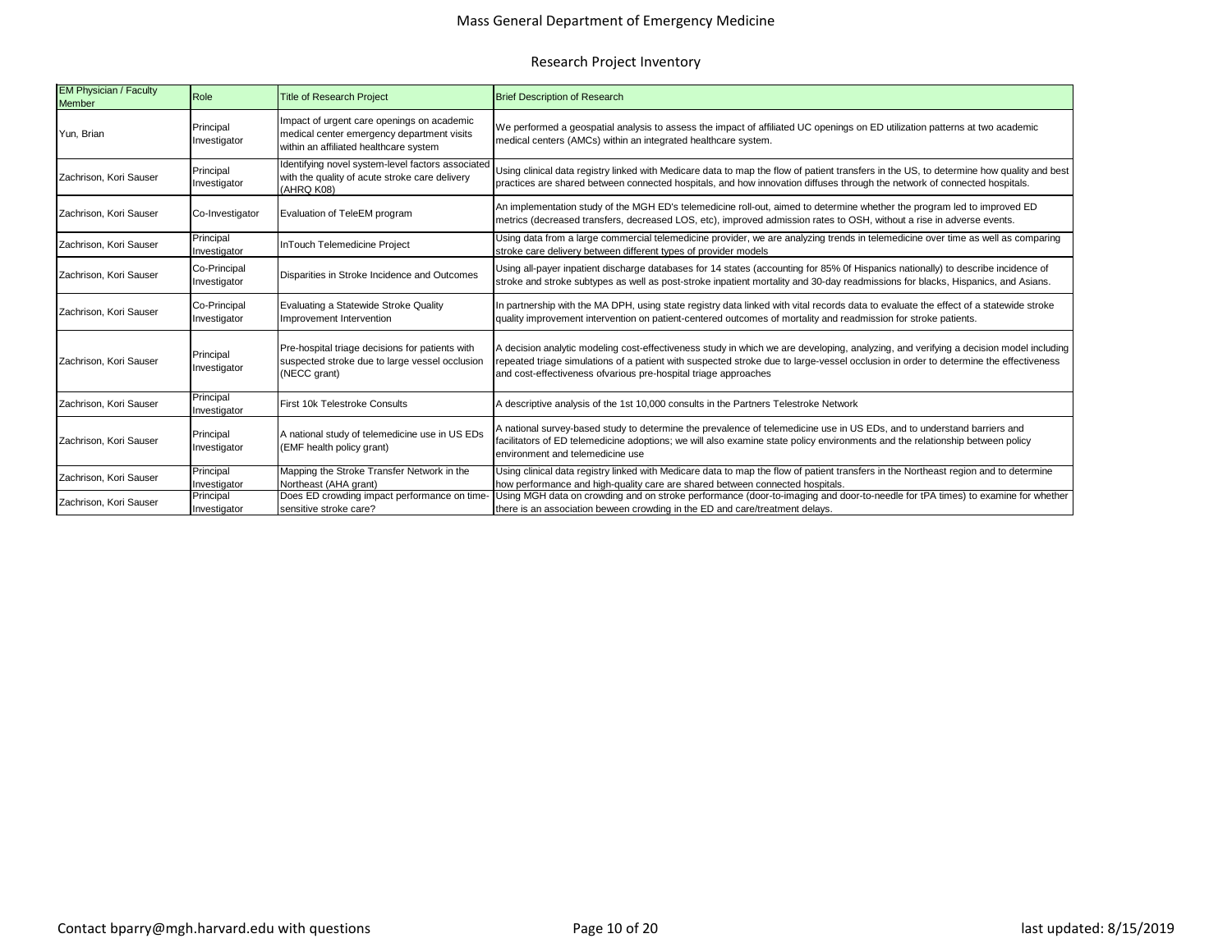| <b>EM Physician / Faculty</b><br><b>Member</b> | Role                         | <b>Title of Research Project</b>                                                                                                   | <b>Brief Description of Research</b>                                                                                                                                                                                                                                                                                                             |  |  |
|------------------------------------------------|------------------------------|------------------------------------------------------------------------------------------------------------------------------------|--------------------------------------------------------------------------------------------------------------------------------------------------------------------------------------------------------------------------------------------------------------------------------------------------------------------------------------------------|--|--|
| Yun, Brian                                     | Principal<br>Investigator    | Impact of urgent care openings on academic<br>medical center emergency department visits<br>within an affiliated healthcare system | We performed a geospatial analysis to assess the impact of affiliated UC openings on ED utilization patterns at two academic<br>medical centers (AMCs) within an integrated healthcare system.                                                                                                                                                   |  |  |
| Zachrison, Kori Sauser                         | Principal<br>Investigator    | Identifying novel system-level factors associated<br>with the quality of acute stroke care delivery<br>(AHRQ K08)                  | Using clinical data registry linked with Medicare data to map the flow of patient transfers in the US, to determine how quality and best<br>practices are shared between connected hospitals, and how innovation diffuses through the network of connected hospitals.                                                                            |  |  |
| Zachrison, Kori Sauser                         | Co-Investigator              | Evaluation of TeleEM program                                                                                                       | An implementation study of the MGH ED's telemedicine roll-out, aimed to determine whether the program led to improved ED<br>metrics (decreased transfers, decreased LOS, etc), improved admission rates to OSH, without a rise in adverse events.                                                                                                |  |  |
| Zachrison, Kori Sauser                         | Principal<br>Investigator    | <b>InTouch Telemedicine Project</b>                                                                                                | Using data from a large commercial telemedicine provider, we are analyzing trends in telemedicine over time as well as comparing<br>stroke care delivery between different types of provider models                                                                                                                                              |  |  |
| Zachrison, Kori Sauser                         | Co-Principal<br>Investigator | Disparities in Stroke Incidence and Outcomes                                                                                       | Using all-payer inpatient discharge databases for 14 states (accounting for 85% Of Hispanics nationally) to describe incidence of<br>stroke and stroke subtypes as well as post-stroke inpatient mortality and 30-day readmissions for blacks, Hispanics, and Asians.                                                                            |  |  |
| Zachrison, Kori Sauser                         | Co-Principal<br>Investigator | Evaluating a Statewide Stroke Quality<br>Improvement Intervention                                                                  | In partnership with the MA DPH, using state registry data linked with vital records data to evaluate the effect of a statewide stroke<br>quality improvement intervention on patient-centered outcomes of mortality and readmission for stroke patients.                                                                                         |  |  |
| Zachrison, Kori Sauser                         | Principal<br>Investigator    | Pre-hospital triage decisions for patients with<br>suspected stroke due to large vessel occlusion<br>(NECC grant)                  | A decision analytic modeling cost-effectiveness study in which we are developing, analyzing, and verifying a decision model including<br>repeated triage simulations of a patient with suspected stroke due to large-vessel occlusion in order to determine the effectiveness<br>and cost-effectiveness ofvarious pre-hospital triage approaches |  |  |
| Zachrison, Kori Sauser                         | Principal<br>Investigator    | First 10k Telestroke Consults                                                                                                      | A descriptive analysis of the 1st 10,000 consults in the Partners Telestroke Network                                                                                                                                                                                                                                                             |  |  |
| Zachrison, Kori Sauser                         | Principal<br>Investigator    | A national study of telemedicine use in US EDs<br>(EMF health policy grant)                                                        | A national survey-based study to determine the prevalence of telemedicine use in US EDs, and to understand barriers and<br>facilitators of ED telemedicine adoptions; we will also examine state policy environments and the relationship between policy<br>environment and telemedicine use                                                     |  |  |
| Zachrison, Kori Sauser                         | Principal<br>Investigator    | Mapping the Stroke Transfer Network in the<br>Northeast (AHA grant)                                                                | Using clinical data registry linked with Medicare data to map the flow of patient transfers in the Northeast region and to determine<br>how performance and high-quality care are shared between connected hospitals.                                                                                                                            |  |  |
| Zachrison, Kori Sauser                         | Principal<br>Investigator    | Does ED crowding impact performance on time-<br>sensitive stroke care?                                                             | Using MGH data on crowding and on stroke performance (door-to-imaging and door-to-needle for tPA times) to examine for whether<br>there is an association beween crowding in the ED and care/treatment delays.                                                                                                                                   |  |  |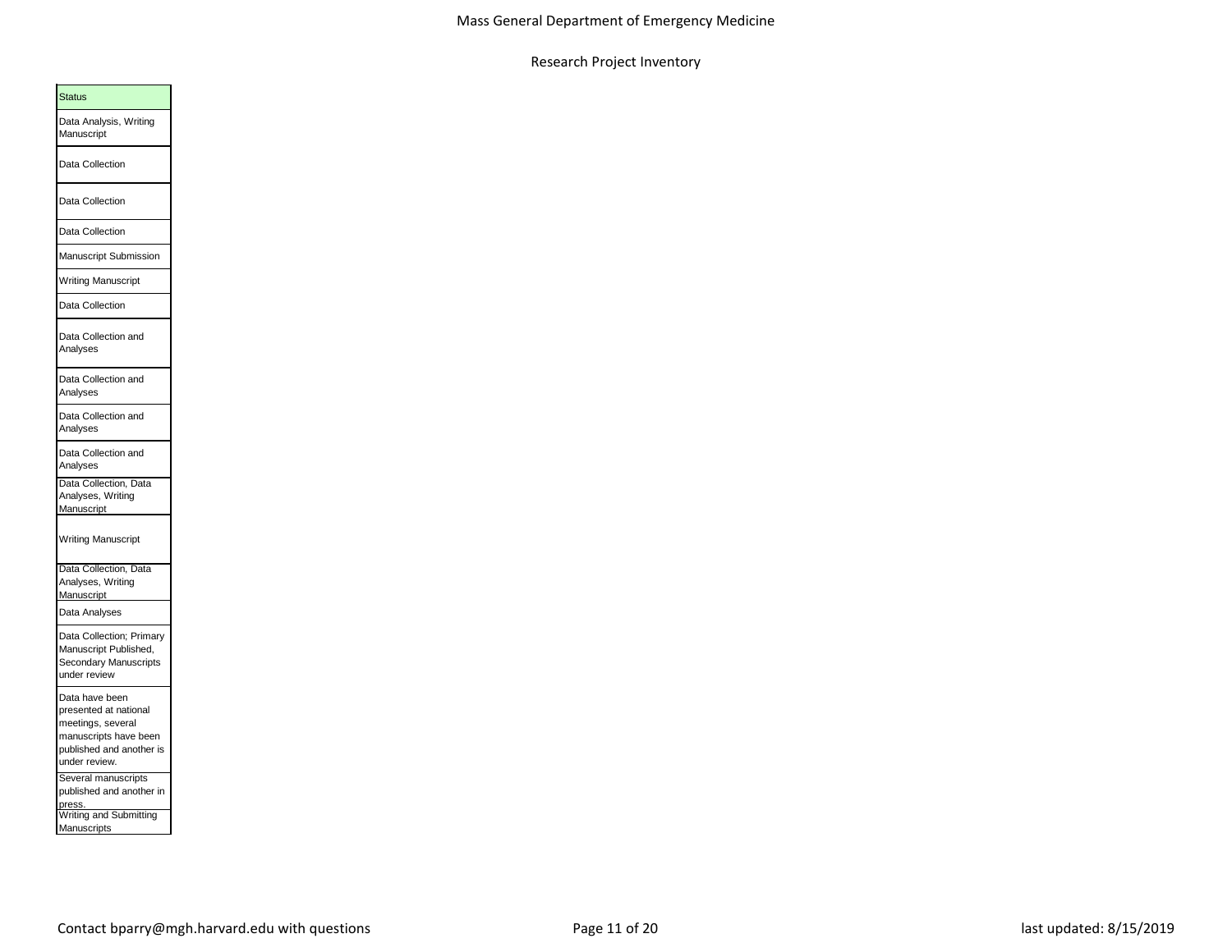| <b>Status</b>                                                                                                                      |  |
|------------------------------------------------------------------------------------------------------------------------------------|--|
| Data Analysis, Writing<br>Manuscript                                                                                               |  |
| Data Collection                                                                                                                    |  |
| Data Collection                                                                                                                    |  |
| Data Collection                                                                                                                    |  |
| Manuscript Submission                                                                                                              |  |
| <b>Writing Manuscript</b>                                                                                                          |  |
| Data Collection                                                                                                                    |  |
| Data Collection and<br>Analyses                                                                                                    |  |
| Data Collection and<br>Analyses                                                                                                    |  |
| Data Collection and<br>Analyses                                                                                                    |  |
| Data Collection and<br>Analyses                                                                                                    |  |
| Data Collection, Data<br>Analyses, Writing<br>Manuscript                                                                           |  |
| <b>Writing Manuscript</b>                                                                                                          |  |
| Data Collection, Data                                                                                                              |  |
| Analyses, Writing<br>Manuscript                                                                                                    |  |
| Data Analyses                                                                                                                      |  |
| Data Collection; Primary<br>Manuscript Published,<br>Secondary Manuscripts<br>under review                                         |  |
| Data have been<br>presented at national<br>meetings, several<br>manuscripts have been<br>published and another is<br>under review. |  |
| Several manuscripts<br>published and another in                                                                                    |  |
| Writing and Submitting<br>Manuscripts                                                                                              |  |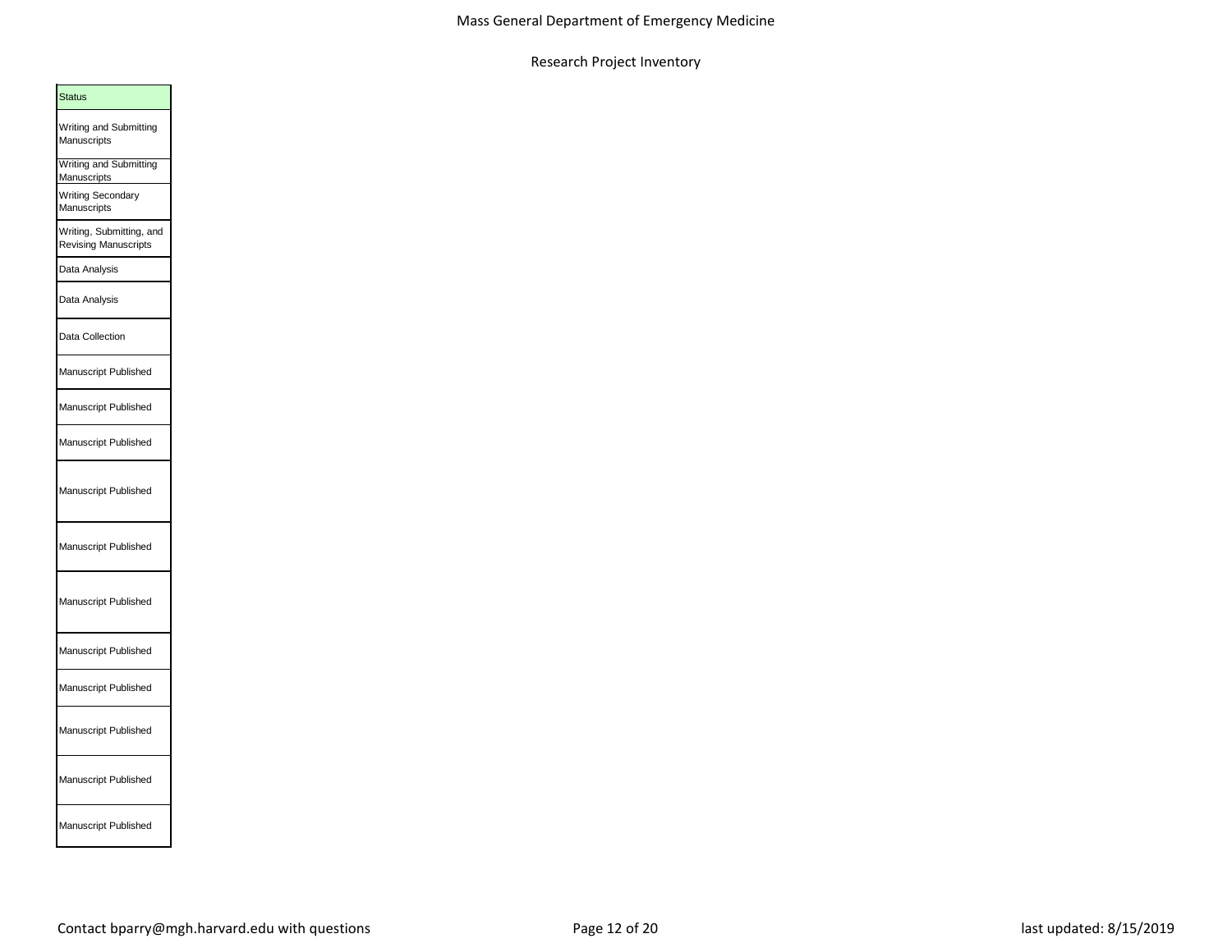| <b>Status</b>                                    |
|--------------------------------------------------|
| Writing and Submitting<br>Manuscripts            |
| <b>Writing and Submitting</b><br>Manuscripts     |
| <b>Writing Secondary</b><br>Manuscripts          |
| Writing, Submitting, and<br>Revising Manuscripts |
| Data Analysis                                    |
| Data Analysis                                    |
| Data Collection                                  |
| Manuscript Published                             |
| Manuscript Published                             |
| Manuscript Published                             |
| Manuscript Published                             |
| Manuscript Published                             |
| Manuscript Published                             |
| Manuscript Published                             |
| Manuscript Published                             |
| Manuscript Published                             |
| Manuscript Published                             |
| Manuscript Published                             |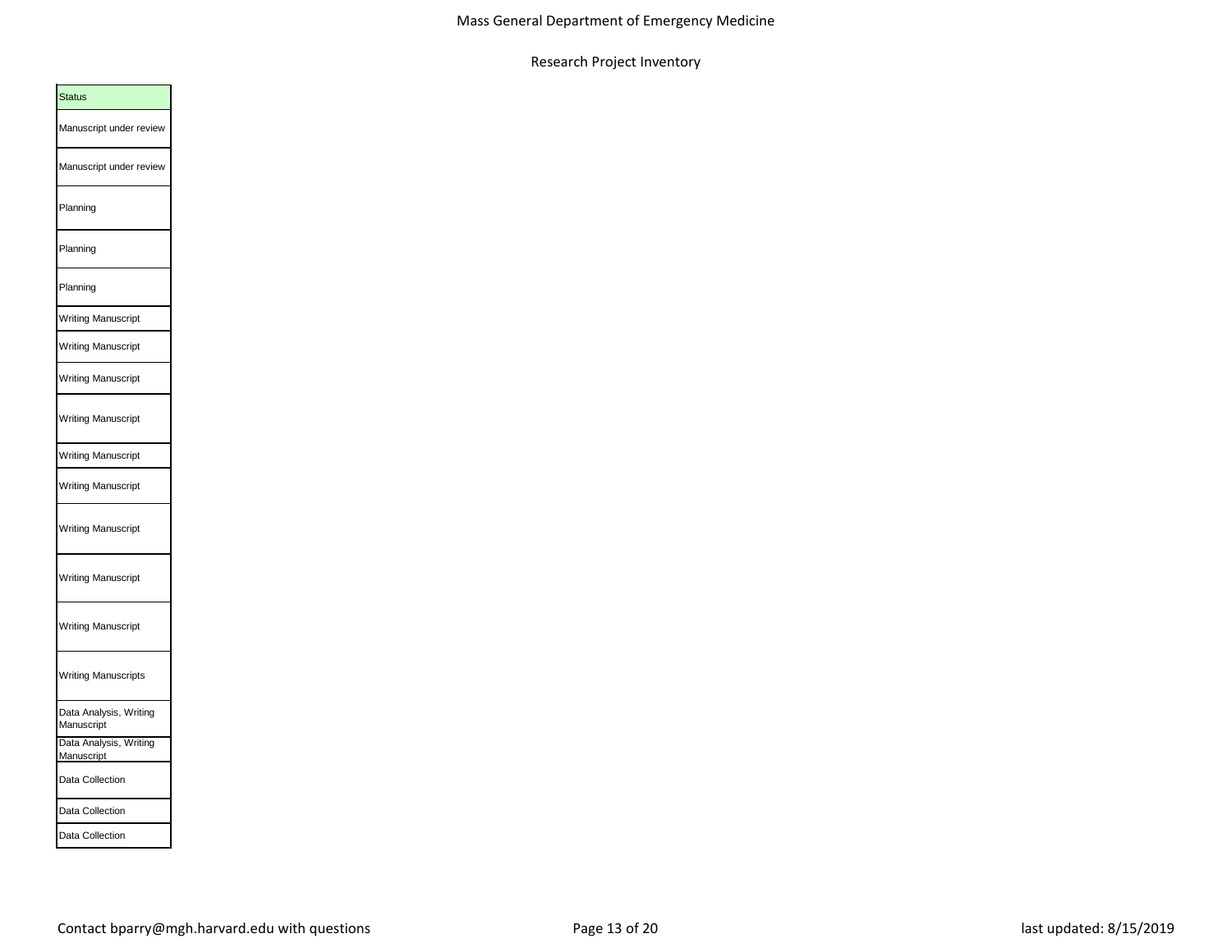| <b>Status</b>                        |
|--------------------------------------|
| Manuscript under review              |
| Manuscript under review              |
| Planning                             |
| Planning                             |
| Planning                             |
| <b>Writing Manuscript</b>            |
| <b>Writing Manuscript</b>            |
| <b>Writing Manuscript</b>            |
| <b>Writing Manuscript</b>            |
| <b>Writing Manuscript</b>            |
| <b>Writing Manuscript</b>            |
| <b>Writing Manuscript</b>            |
| <b>Writing Manuscript</b>            |
| Writing Manuscript                   |
| <b>Writing Manuscripts</b>           |
| Data Analysis, Writing<br>Manuscript |
| Data Analysis, Writing<br>Manuscript |
| Data Collection                      |
| Data Collection                      |
| Data Collection                      |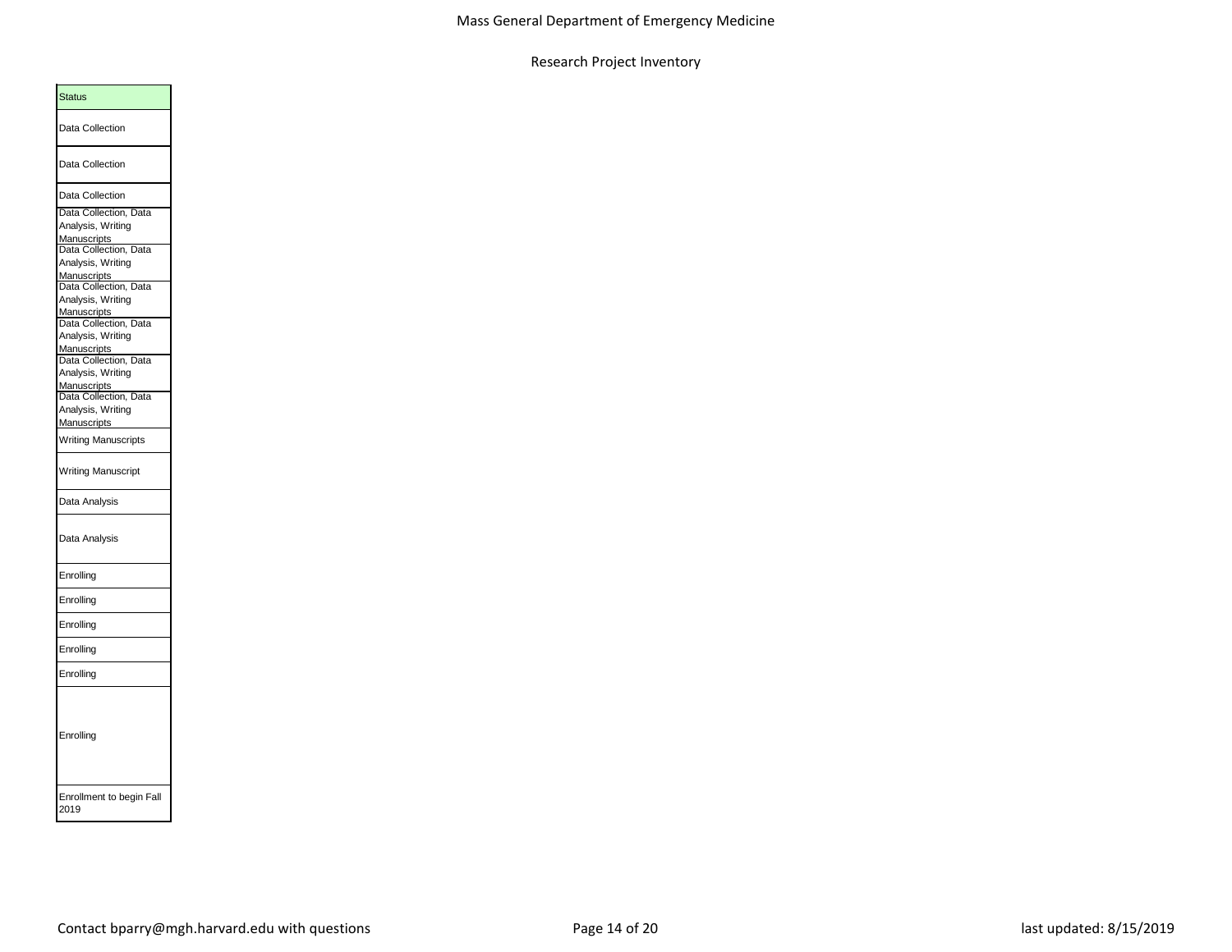| <b>Status</b>                              |  |
|--------------------------------------------|--|
| Data Collection                            |  |
| Data Collection                            |  |
| Data Collection                            |  |
| Data Collection, Data                      |  |
| Analysis, Writing                          |  |
| <b>Manuscripts</b>                         |  |
| Data Collection, Data<br>Analysis, Writing |  |
| Manuscripts                                |  |
| Data Collection, Data                      |  |
| Analysis, Writing                          |  |
| Manuscripts                                |  |
| Data Collection, Data                      |  |
| Analysis, Writing<br>Manuscripts           |  |
| Data Collection, Data                      |  |
| Analysis, Writing                          |  |
| Manuscripts                                |  |
| Data Collection, Data                      |  |
| Analysis, Writing                          |  |
| <b>Manuscripts</b>                         |  |
| <b>Writing Manuscripts</b>                 |  |
| <b>Writing Manuscript</b>                  |  |
| Data Analysis                              |  |
| Data Analysis                              |  |
| Enrolling                                  |  |
| Enrolling                                  |  |
| Enrolling                                  |  |
| Enrolling                                  |  |
| Enrolling                                  |  |
| Enrolling                                  |  |
| Enrollment to begin Fall<br>2019           |  |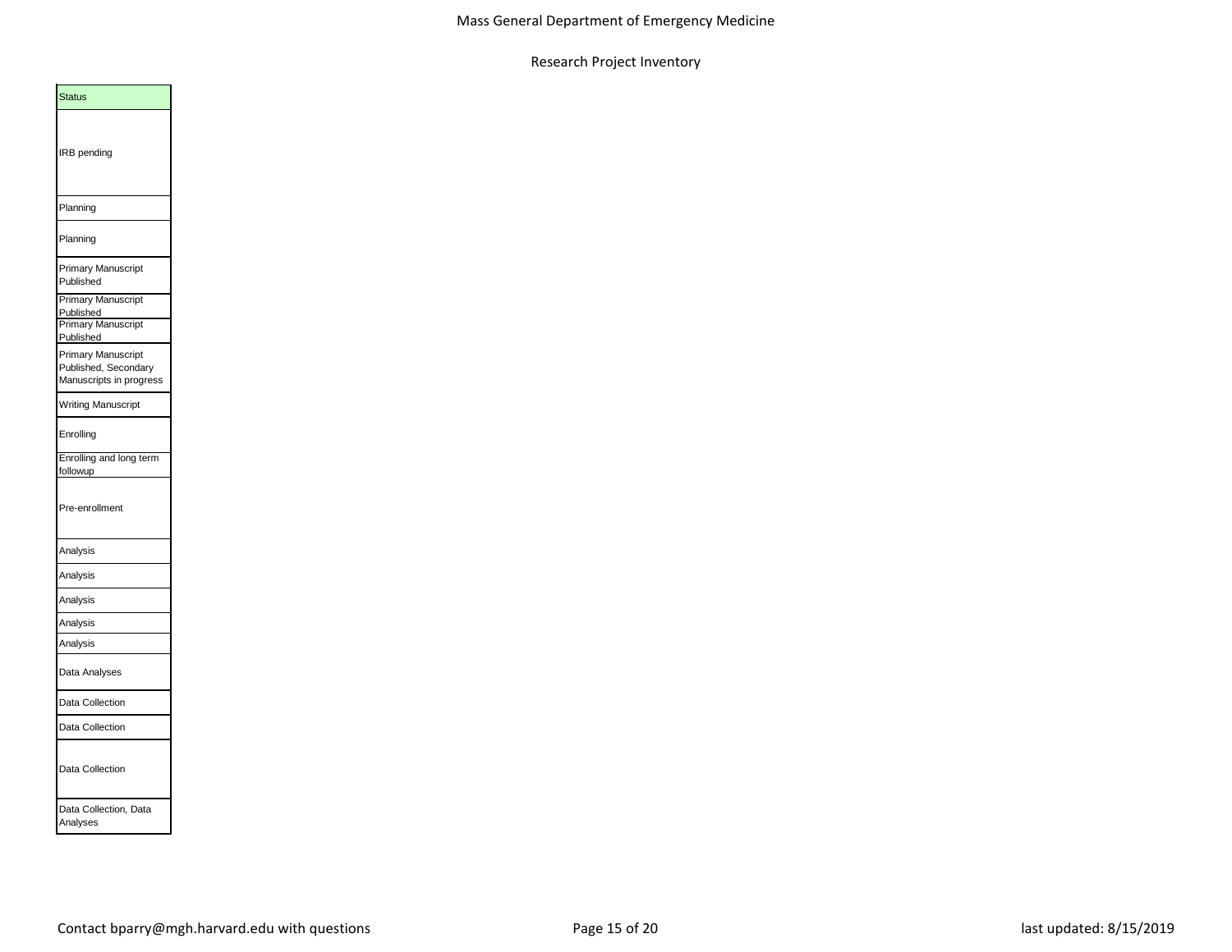| <b>Status</b>                                                                                                                                                    |
|------------------------------------------------------------------------------------------------------------------------------------------------------------------|
| IRB pending                                                                                                                                                      |
| Planning                                                                                                                                                         |
| Planning                                                                                                                                                         |
| Primary Manuscript<br>Published                                                                                                                                  |
| <b>Primary Manuscript</b><br>Published<br><b>Primary Manuscript</b><br>Published<br><b>Primary Manuscript</b><br>Published, Secondary<br>Manuscripts in progress |
| Writing Manuscript                                                                                                                                               |
| Enrolling                                                                                                                                                        |
| Enrolling and long term<br>followup                                                                                                                              |
| Pre-enrollment                                                                                                                                                   |
| Analysis                                                                                                                                                         |
| Analysis                                                                                                                                                         |
| Analysis                                                                                                                                                         |
| Analysis                                                                                                                                                         |
| Analysis                                                                                                                                                         |
| Data Analyses                                                                                                                                                    |
| Data Collection                                                                                                                                                  |
| Data Collection                                                                                                                                                  |
| Data Collection                                                                                                                                                  |
| Data Collection, Data<br>Analyses                                                                                                                                |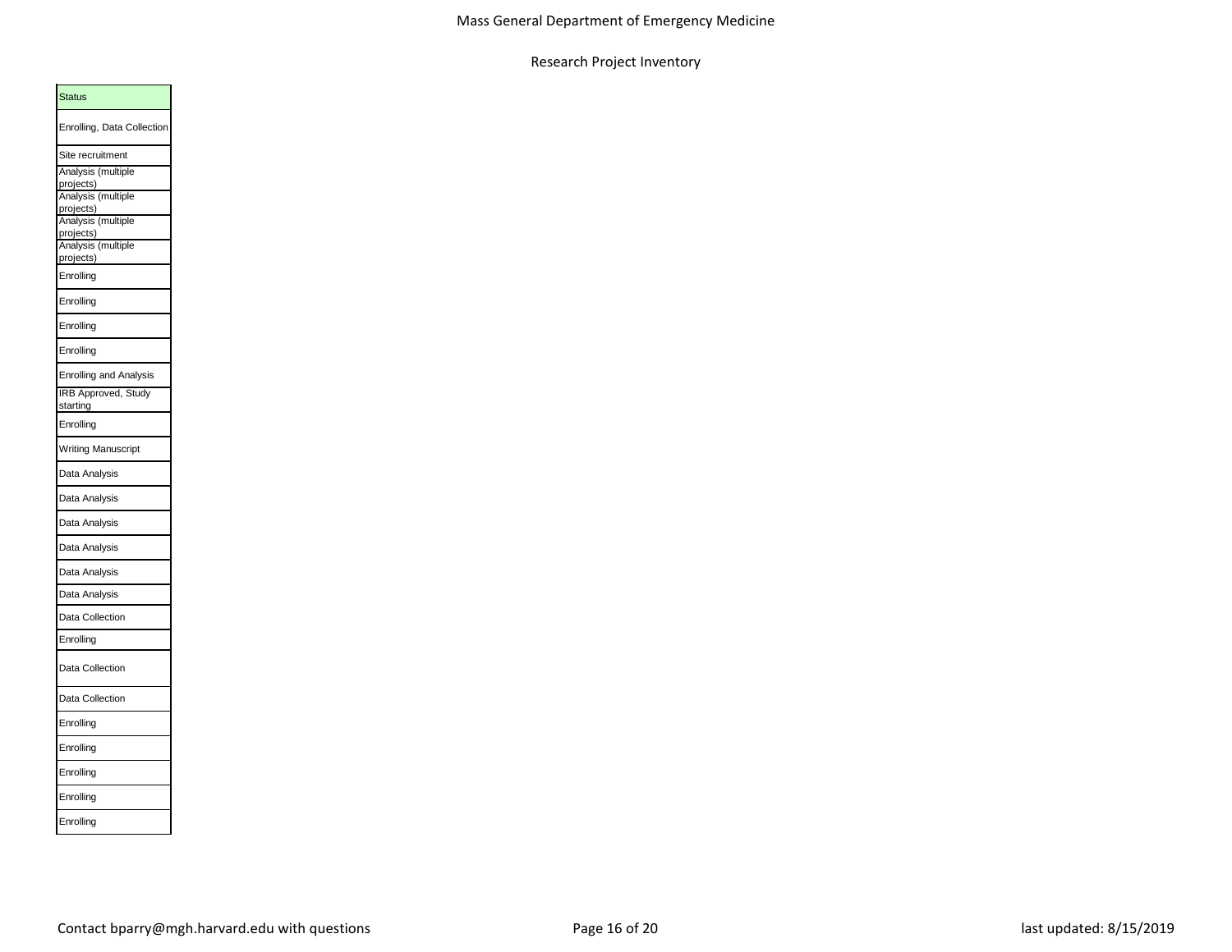| <b>Status</b>                   |  |
|---------------------------------|--|
| Enrolling, Data Collection      |  |
| Site recruitment                |  |
| Analysis (multiple              |  |
| projects)<br>Analysis (multiple |  |
| projects)<br>Analysis (multiple |  |
|                                 |  |
| projects)<br>Analysis (multiple |  |
| projects)                       |  |
| Enrolling                       |  |
| Enrolling                       |  |
| Enrolling                       |  |
| Enrolling                       |  |
| <b>Enrolling and Analysis</b>   |  |
| IRB Approved, Study             |  |
| starting                        |  |
| Enrolling                       |  |
| <b>Writing Manuscript</b>       |  |
| Data Analysis                   |  |
| Data Analysis                   |  |
| Data Analysis                   |  |
| Data Analysis                   |  |
| Data Analysis                   |  |
| Data Analysis                   |  |
| Data Collection                 |  |
| Enrolling                       |  |
| Data Collection                 |  |
| Data Collection                 |  |
| Enrolling                       |  |
| Enrolling                       |  |
| Enrolling                       |  |
| Enrolling                       |  |
| Enrolling                       |  |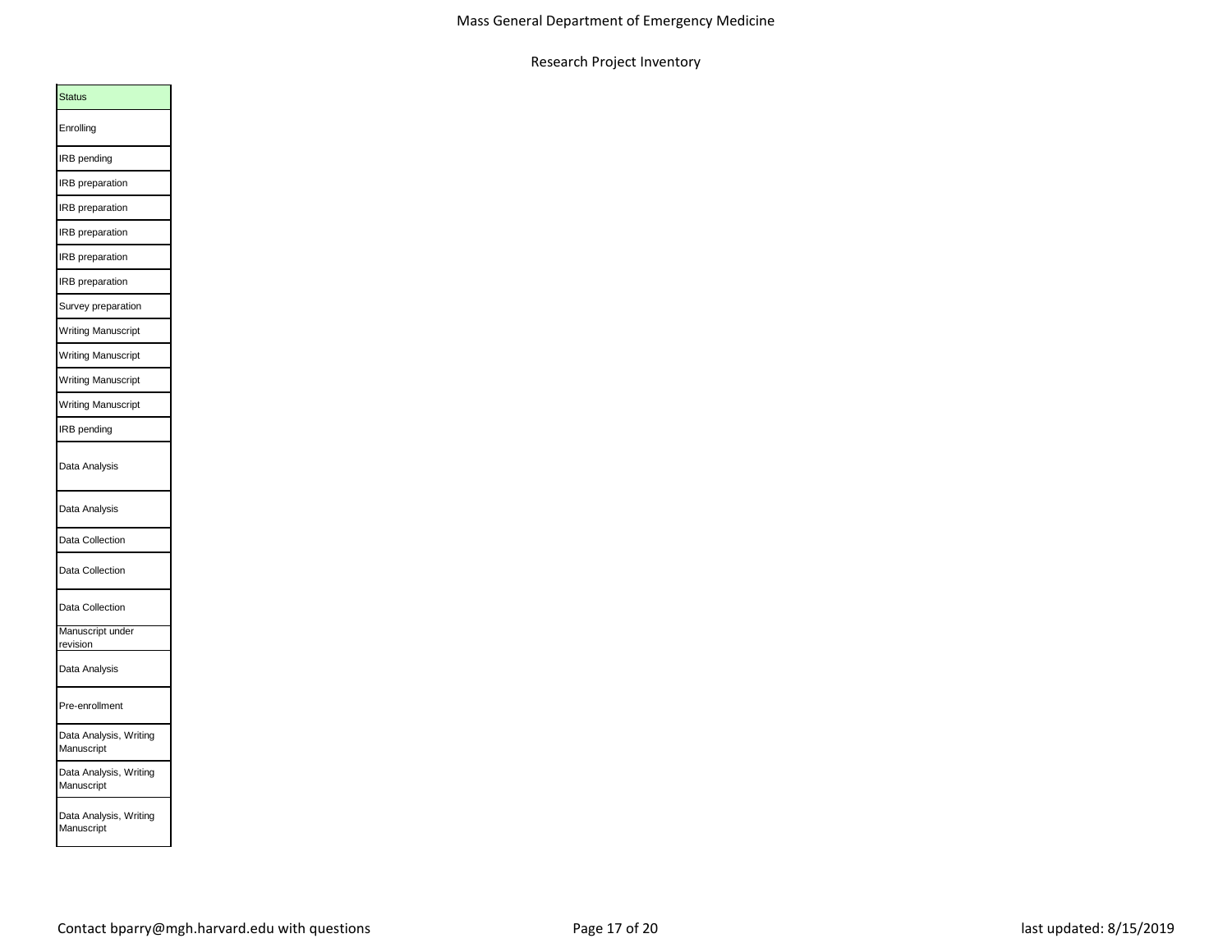| Status                               |
|--------------------------------------|
| Enrolling                            |
| IRB pending                          |
| <b>IRB</b> preparation               |
| <b>IRB</b> preparation               |
| IRB preparation                      |
| IRB preparation                      |
| <b>IRB</b> preparation               |
| Survey preparation                   |
| <b>Writing Manuscript</b>            |
| Writing Manuscript                   |
| Writing Manuscript                   |
| Writing Manuscript                   |
| IRB pending                          |
| Data Analysis                        |
| Data Analysis                        |
| Data Collection                      |
| Data Collection                      |
| Data Collection                      |
| Manuscript under<br>revision         |
| Data Analysis                        |
| Pre-enrollment                       |
| Data Analysis, Writing<br>Aanuscript |
| Data Analysis, Writing<br>Manuscript |
| Data Analysis, Writing<br>Manuscript |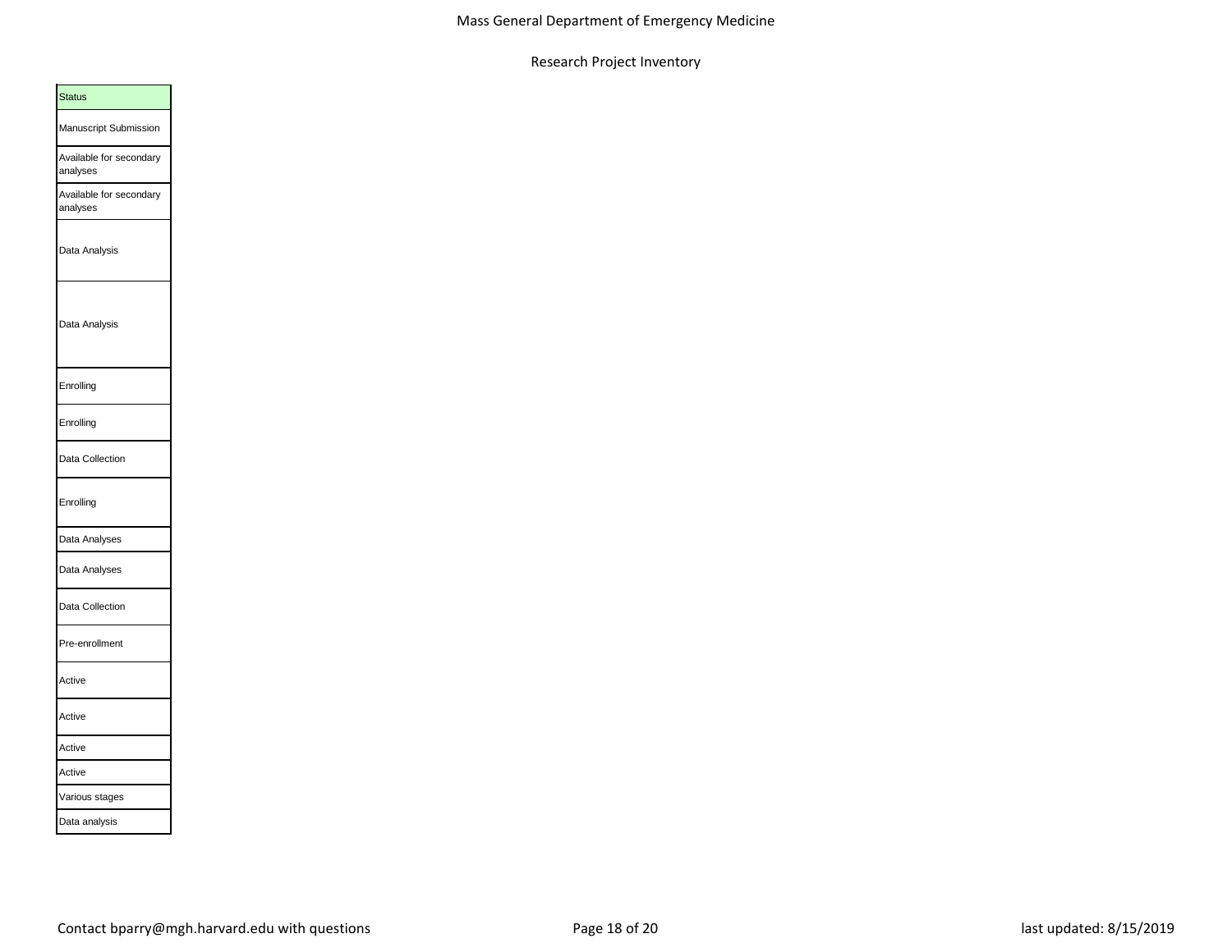| <b>Status</b>                       |  |
|-------------------------------------|--|
| Manuscript Submission               |  |
| Available for secondary<br>analyses |  |
| Available for secondary<br>analyses |  |
| Data Analysis                       |  |
| Data Analysis                       |  |
| Enrolling                           |  |
| Enrolling                           |  |
| Data Collection                     |  |
| Enrolling                           |  |
| Data Analyses                       |  |
| Data Analyses                       |  |
| Data Collection                     |  |
| Pre-enrollment                      |  |
| Active                              |  |
| Active                              |  |
| Active                              |  |
| Active                              |  |
| Various stages                      |  |
| Data analysis                       |  |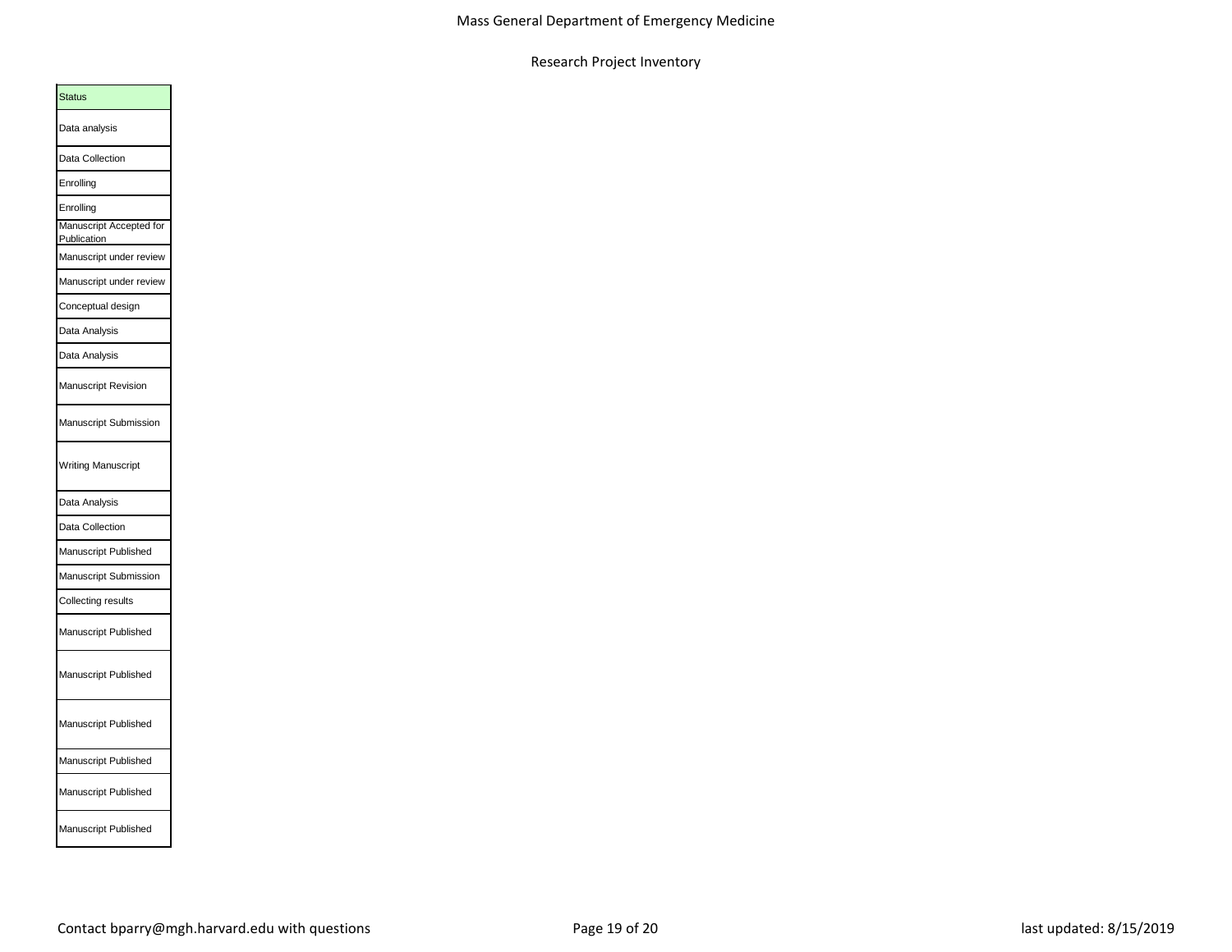| <b>Status</b>                          |  |
|----------------------------------------|--|
| Data analysis                          |  |
| Data Collection                        |  |
| Enrolling                              |  |
| Enrolling                              |  |
| Manuscript Accepted for<br>Publication |  |
| Manuscript under review                |  |
| Manuscript under review                |  |
| Conceptual design                      |  |
| Data Analysis                          |  |
| Data Analysis                          |  |
| Manuscript Revision                    |  |
| Manuscript Submission                  |  |
| <b>Writing Manuscript</b>              |  |
| Data Analysis                          |  |
| Data Collection                        |  |
| Manuscript Published                   |  |
| Manuscript Submission                  |  |
| Collecting results                     |  |
| Manuscript Published                   |  |
| Manuscript Published                   |  |
| Manuscript Published                   |  |
| Manuscript Published                   |  |
| Manuscript Published                   |  |
| Manuscript Published                   |  |